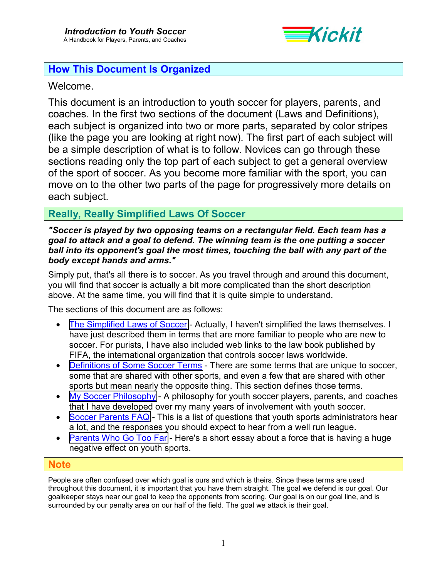

## **How This Document Is Organized**

## Welcome.

This document is an introduction to youth soccer for players, parents, and coaches. In the first two sections of the document (Laws and Definitions), each subject is organized into two or more parts, separated by color stripes (like the page you are looking at right now). The first part of each subject will be a simple description of what is to follow. Novices can go through these sections reading only the top part of each subject to get a general overview of the sport of soccer. As you become more familiar with the sport, you can move on to the other two parts of the page for progressively more details on each subject.

## **Really, Really Simplified Laws Of Soccer**

*"Soccer is played by two opposing teams on a rectangular field. Each team has a goal to attack and a goal to defend. The winning team is the one putting a soccer ball into its opponent's goal the most times, touching the ball with any part of the body except hands and arms."* 

Simply put, that's all there is to soccer. As you travel through and around this document, you will find that soccer is actually a bit more complicated than the short description above. At the same time, you will find that it is quite simple to understand.

The sections of this document are as follows:

- [The Simplified Laws of Soccer](#page-1-0)  Actually, I haven't simplified the laws themselves. I have just described them in terms that are more familiar to people who are new to soccer. For purists, I have also included web links to the law book published by FIFA, the international organization that controls soccer laws worldwide.
- [Definitions of Some Soccer Terms](#page-21-0)  There are some terms that are unique to soccer, some that are shared with other sports, and even a few that are shared with other sports but mean nearly the opposite thing. This section defines those terms.
- [My Soccer Philosophy](#page-40-0)  A philosophy for youth soccer players, parents, and coaches that I have developed over my many years of involvement with youth soccer.
- [Soccer Parents FAQ](#page-41-0)  This is a list of questions that youth sports administrators hear a lot, and the responses you should expect to hear from a well run league.
- [Parents Who Go Too Far](#page-54-0)  Here's a short essay about a force that is having a huge negative effect on youth sports.

### **Note**

People are often confused over which goal is ours and which is theirs. Since these terms are used throughout this document, it is important that you have them straight. The goal we defend is our goal. Our goalkeeper stays near our goal to keep the opponents from scoring. Our goal is on our goal line, and is surrounded by our penalty area on our half of the field. The goal we attack is their goal.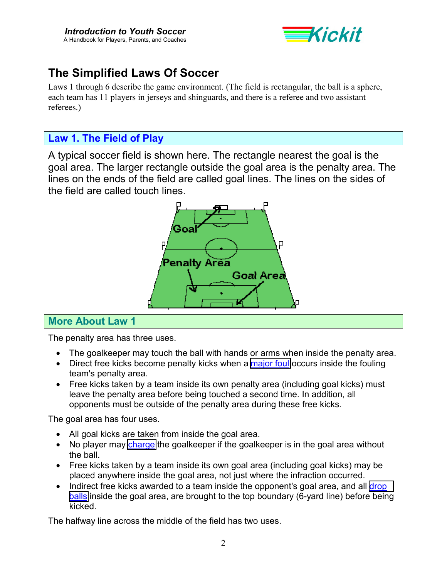

# <span id="page-1-0"></span>**The Simplified Laws Of Soccer**

Laws 1 through 6 describe the game environment. (The field is rectangular, the ball is a sphere, each team has 11 players in jerseys and shinguards, and there is a referee and two assistant referees.)

## **Law 1. The Field of Play**

A typical soccer field is shown here. The rectangle nearest the goal is the goal area. The larger rectangle outside the goal area is the penalty area. The lines on the ends of the field are called goal lines. The lines on the sides of the field are called touch lines.



## **More About Law 1**

The penalty area has three uses.

- The goalkeeper may touch the ball with hands or arms when inside the penalty area.
- Direct free kicks become penalty kicks when a [major foul](#page-28-0) occurs inside the fouling team's penalty area.
- Free kicks taken by a team inside its own penalty area (including goal kicks) must leave the penalty area before being touched a second time. In addition, all opponents must be outside of the penalty area during these free kicks.

The goal area has four uses.

- All goal kicks are taken from inside the goal area.
- No player may [charge](#page-23-0) the goalkeeper if the goalkeeper is in the goal area without the ball.
- Free kicks taken by a team inside its own goal area (including goal kicks) may be placed anywhere inside the goal area, not just where the infraction occurred.
- Indirect free kicks awarded to a team inside the opponent's goal area, and all drop [balls](#page-25-0) inside the goal area, are brought to the top boundary (6-yard line) before being kicked.

The halfway line across the middle of the field has two uses.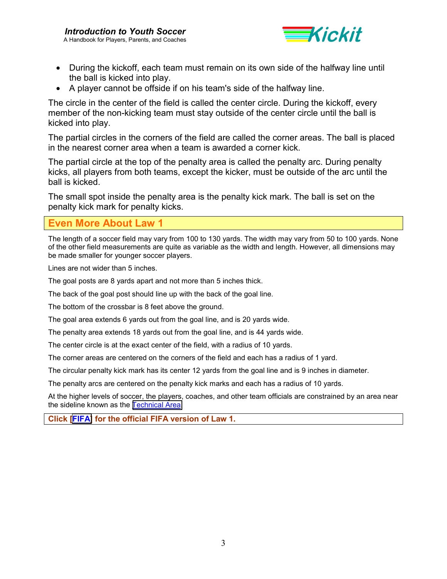

- During the kickoff, each team must remain on its own side of the halfway line until the ball is kicked into play.
- A player cannot be offside if on his team's side of the halfway line.

The circle in the center of the field is called the center circle. During the kickoff, every member of the non-kicking team must stay outside of the center circle until the ball is kicked into play.

The partial circles in the corners of the field are called the corner areas. The ball is placed in the nearest corner area when a team is awarded a corner kick.

The partial circle at the top of the penalty area is called the penalty arc. During penalty kicks, all players from both teams, except the kicker, must be outside of the arc until the ball is kicked.

The small spot inside the penalty area is the penalty kick mark. The ball is set on the penalty kick mark for penalty kicks.

### **Even More About Law 1**

The length of a soccer field may vary from 100 to 130 yards. The width may vary from 50 to 100 yards. None of the other field measurements are quite as variable as the width and length. However, all dimensions may be made smaller for younger soccer players.

Lines are not wider than 5 inches.

The goal posts are 8 yards apart and not more than 5 inches thick.

The back of the goal post should line up with the back of the goal line.

The bottom of the crossbar is 8 feet above the ground.

The goal area extends 6 yards out from the goal line, and is 20 yards wide.

The penalty area extends 18 yards out from the goal line, and is 44 yards wide.

The center circle is at the exact center of the field, with a radius of 10 yards.

The corner areas are centered on the corners of the field and each has a radius of 1 yard.

The circular penalty kick mark has its center 12 yards from the goal line and is 9 inches in diameter.

The penalty arcs are centered on the penalty kick marks and each has a radius of 10 yards.

At the higher levels of soccer, the players, coaches, and other team officials are constrained by an area near the sideline known as the [Technical Area.](http://www.fifa.com/fifa/handbook/laws/law.19.frame.html)

**Click [\[FIFA\]](http://www.fifa.com/fifa/handbook/laws/law.1.frame.html) for the official FIFA version of Law 1.**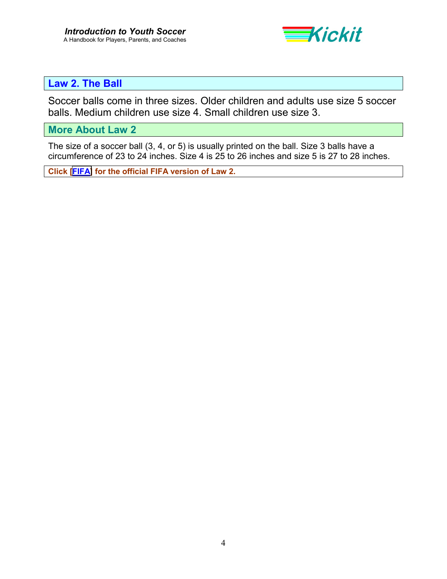

# **Law 2. The Ball**

Soccer balls come in three sizes. Older children and adults use size 5 soccer balls. Medium children use size 4. Small children use size 3.

**More About Law 2** 

The size of a soccer ball (3, 4, or 5) is usually printed on the ball. Size 3 balls have a circumference of 23 to 24 inches. Size 4 is 25 to 26 inches and size 5 is 27 to 28 inches.

**Click [\[FIFA\]](http://www.fifa.com/fifa/handbook/laws/law.2.frame.html) for the official FIFA version of Law 2.**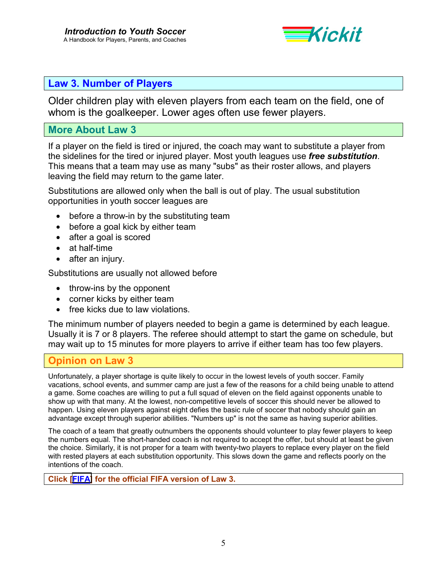

## **Law 3. Number of Players**

Older children play with eleven players from each team on the field, one of whom is the goalkeeper. Lower ages often use fewer players.

### **More About Law 3**

If a player on the field is tired or injured, the coach may want to substitute a player from the sidelines for the tired or injured player. Most youth leagues use *free substitution*. This means that a team may use as many "subs" as their roster allows, and players leaving the field may return to the game later.

Substitutions are allowed only when the ball is out of play. The usual substitution opportunities in youth soccer leagues are

- before a throw-in by the substituting team
- before a goal kick by either team
- after a goal is scored
- at half-time
- after an injury.

Substitutions are usually not allowed before

- throw-ins by the opponent
- corner kicks by either team
- free kicks due to law violations.

The minimum number of players needed to begin a game is determined by each league. Usually it is 7 or 8 players. The referee should attempt to start the game on schedule, but may wait up to 15 minutes for more players to arrive if either team has too few players.

## **Opinion on Law 3**

Unfortunately, a player shortage is quite likely to occur in the lowest levels of youth soccer. Family vacations, school events, and summer camp are just a few of the reasons for a child being unable to attend a game. Some coaches are willing to put a full squad of eleven on the field against opponents unable to show up with that many. At the lowest, non-competitive levels of soccer this should never be allowed to happen. Using eleven players against eight defies the basic rule of soccer that nobody should gain an advantage except through superior abilities. "Numbers up" is not the same as having superior abilities.

The coach of a team that greatly outnumbers the opponents should volunteer to play fewer players to keep the numbers equal. The short-handed coach is not required to accept the offer, but should at least be given the choice. Similarly, it is not proper for a team with twenty-two players to replace every player on the field with rested players at each substitution opportunity. This slows down the game and reflects poorly on the intentions of the coach.

#### **Click [\[FIFA\]](http://www.fifa.com/fifa/handbook/laws/law.3.frame.html) for the official FIFA version of Law 3.**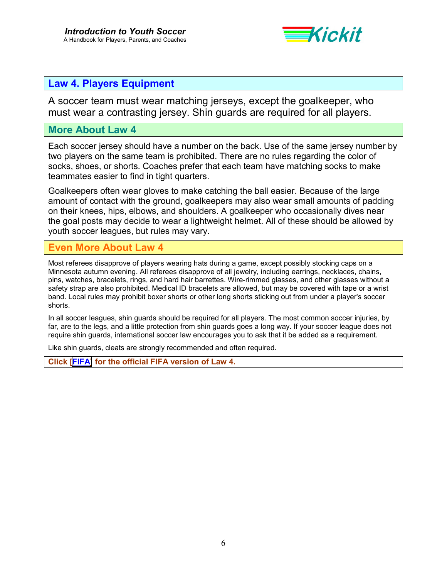

## **Law 4. Players Equipment**

A soccer team must wear matching jerseys, except the goalkeeper, who must wear a contrasting jersey. Shin guards are required for all players.

### **More About Law 4**

Each soccer jersey should have a number on the back. Use of the same jersey number by two players on the same team is prohibited. There are no rules regarding the color of socks, shoes, or shorts. Coaches prefer that each team have matching socks to make teammates easier to find in tight quarters.

Goalkeepers often wear gloves to make catching the ball easier. Because of the large amount of contact with the ground, goalkeepers may also wear small amounts of padding on their knees, hips, elbows, and shoulders. A goalkeeper who occasionally dives near the goal posts may decide to wear a lightweight helmet. All of these should be allowed by youth soccer leagues, but rules may vary.

### **More About Law 4**

Most referees disapprove of players wearing hats during a game, except possibly stocking caps on a Minnesota autumn evening. All referees disapprove of all jewelry, including earrings, necklaces, chains, pins, watches, bracelets, rings, and hard hair barrettes. Wire-rimmed glasses, and other glasses without a safety strap are also prohibited. Medical ID bracelets are allowed, but may be covered with tape or a wrist band. Local rules may prohibit boxer shorts or other long shorts sticking out from under a player's soccer shorts.

In all soccer leagues, shin guards should be required for all players. The most common soccer injuries, by far, are to the legs, and a little protection from shin guards goes a long way. If your soccer league does not require shin guards, international soccer law encourages you to ask that it be added as a requirement.

Like shin guards, cleats are strongly recommended and often required.

**Click [\[FIFA\]](http://www.fifa.com/fifa/handbook/laws/law.4.frame.html) for the official FIFA version of Law 4.**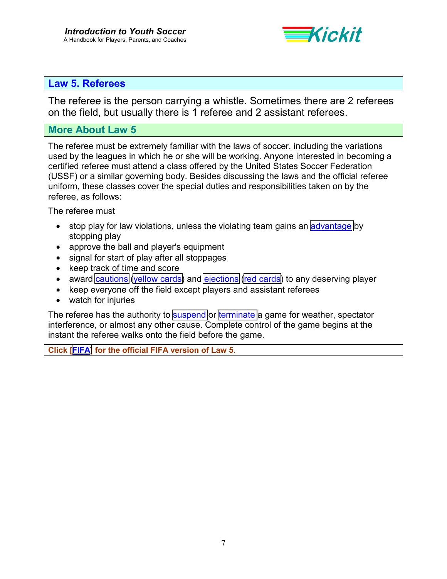

### **Law 5. Referees**

The referee is the person carrying a whistle. Sometimes there are 2 referees on the field, but usually there is 1 referee and 2 assistant referees.

### **More About Law 5**

The referee must be extremely familiar with the laws of soccer, including the variations used by the leagues in which he or she will be working. Anyone interested in becoming a certified referee must attend a class offered by the United States Soccer Federation (USSF) or a similar governing body. Besides discussing the laws and the official referee uniform, these classes cover the special duties and responsibilities taken on by the referee, as follows:

The referee must

- stop play for law violations, unless the violating team gains an [advantage](#page-21-0) by stopping play
- approve the ball and player's equipment
- signal for start of play after all stoppages
- keep track of time and score
- award [cautions](#page-22-0) [\(yellow cards\)](#page-39-0) and [ejections](#page-26-0) [\(red cards\)](#page-32-0) to any deserving player
- keep everyone off the field except players and assistant referees
- watch for injuries

The referee has the authority to [suspend](#page-35-0) or [terminate](#page-37-0) a game for weather, spectator interference, or almost any other cause. Complete control of the game begins at the instant the referee walks onto the field before the game.

**Click [\[FIFA\]](http://www.fifa.com/fifa/handbook/laws/law.5.frame.html) for the official FIFA version of Law 5.**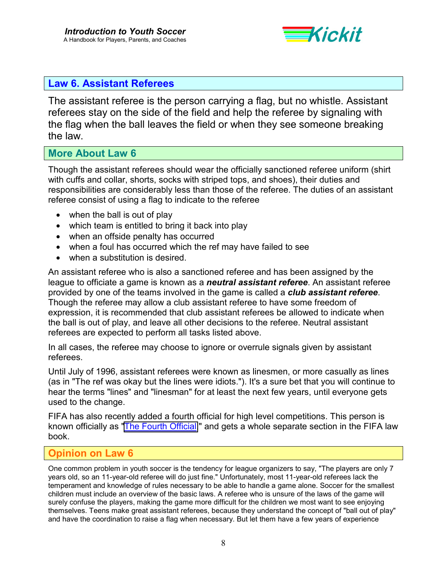

### **Law 6. Assistant Referees**

The assistant referee is the person carrying a flag, but no whistle. Assistant referees stay on the side of the field and help the referee by signaling with the flag when the ball leaves the field or when they see someone breaking the law.

### **More About Law 6**

Though the assistant referees should wear the officially sanctioned referee uniform (shirt with cuffs and collar, shorts, socks with striped tops, and shoes), their duties and responsibilities are considerably less than those of the referee. The duties of an assistant referee consist of using a flag to indicate to the referee

- when the ball is out of play
- which team is entitled to bring it back into play
- when an offside penalty has occurred
- when a foul has occurred which the ref may have failed to see
- when a substitution is desired.

An assistant referee who is also a sanctioned referee and has been assigned by the league to officiate a game is known as a *neutral assistant referee*. An assistant referee provided by one of the teams involved in the game is called a *club assistant referee*. Though the referee may allow a club assistant referee to have some freedom of expression, it is recommended that club assistant referees be allowed to indicate when the ball is out of play, and leave all other decisions to the referee. Neutral assistant referees are expected to perform all tasks listed above.

In all cases, the referee may choose to ignore or overrule signals given by assistant referees.

Until July of 1996, assistant referees were known as linesmen, or more casually as lines (as in "The ref was okay but the lines were idiots."). It's a sure bet that you will continue to hear the terms "lines" and "linesman" for at least the next few years, until everyone gets used to the change.

FIFA has also recently added a fourth official for high level competitions. This person is known officially as ["The Fourth Official,](http://www.fifa.com/fifa/handbook/laws/law.20.frame.html)" and gets a whole separate section in the FIFA law book.

### **Opinion on Law 6**

One common problem in youth soccer is the tendency for league organizers to say, "The players are only 7 years old, so an 11-year-old referee will do just fine." Unfortunately, most 11-year-old referees lack the temperament and knowledge of rules necessary to be able to handle a game alone. Soccer for the smallest children must include an overview of the basic laws. A referee who is unsure of the laws of the game will surely confuse the players, making the game more difficult for the children we most want to see enjoying themselves. Teens make great assistant referees, because they understand the concept of "ball out of play" and have the coordination to raise a flag when necessary. But let them have a few years of experience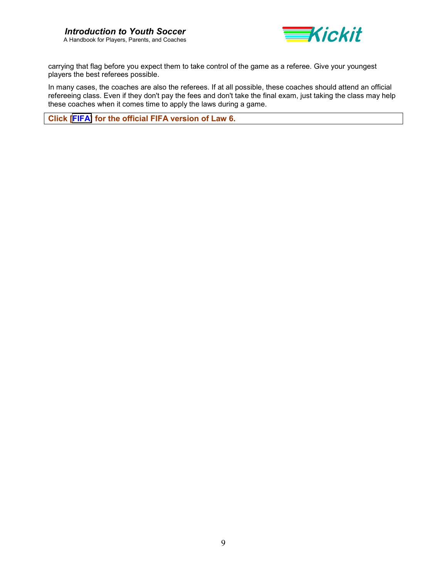

carrying that flag before you expect them to take control of the game as a referee. Give your youngest players the best referees possible.

In many cases, the coaches are also the referees. If at all possible, these coaches should attend an official refereeing class. Even if they don't pay the fees and don't take the final exam, just taking the class may help these coaches when it comes time to apply the laws during a game.

**Click [\[FIFA\]](http://www.fifa.com/fifa/handbook/laws/law.6.frame.html) for the official FIFA version of Law 6.**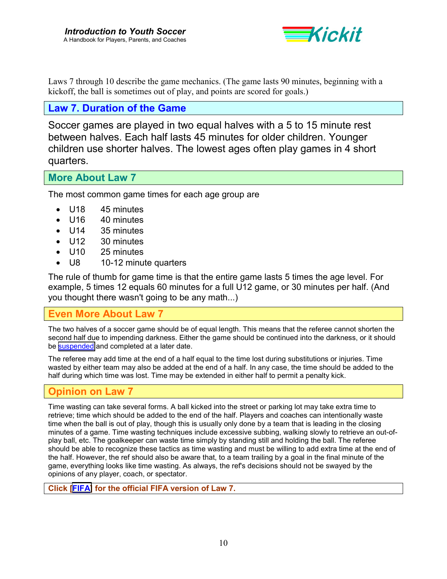

Laws 7 through 10 describe the game mechanics. (The game lasts 90 minutes, beginning with a kickoff, the ball is sometimes out of play, and points are scored for goals.)

### **Law 7. Duration of the Game**

Soccer games are played in two equal halves with a 5 to 15 minute rest between halves. Each half lasts 45 minutes for older children. Younger children use shorter halves. The lowest ages often play games in 4 short quarters.

**More About Law 7** 

The most common game times for each age group are

- U18 45 minutes
- U16 40 minutes
- U14 35 minutes
- U12 30 minutes
- U10 25 minutes
- U8 10-12 minute quarters

The rule of thumb for game time is that the entire game lasts 5 times the age level. For example, 5 times 12 equals 60 minutes for a full U12 game, or 30 minutes per half. (And you thought there wasn't going to be any math...)

## **Even More About Law 7**

The two halves of a soccer game should be of equal length. This means that the referee cannot shorten the second half due to impending darkness. Either the game should be continued into the darkness, or it should be [suspended](#page-35-0) and completed at a later date.

The referee may add time at the end of a half equal to the time lost during substitutions or injuries. Time wasted by either team may also be added at the end of a half. In any case, the time should be added to the half during which time was lost. Time may be extended in either half to permit a penalty kick.

### **Opinion on Law 7**

Time wasting can take several forms. A ball kicked into the street or parking lot may take extra time to retrieve; time which should be added to the end of the half. Players and coaches can intentionally waste time when the ball is out of play, though this is usually only done by a team that is leading in the closing minutes of a game. Time wasting techniques include excessive subbing, walking slowly to retrieve an out-ofplay ball, etc. The goalkeeper can waste time simply by standing still and holding the ball. The referee should be able to recognize these tactics as time wasting and must be willing to add extra time at the end of the half. However, the ref should also be aware that, to a team trailing by a goal in the final minute of the game, everything looks like time wasting. As always, the ref's decisions should not be swayed by the opinions of any player, coach, or spectator.

**Click [\[FIFA\]](http://www.fifa.com/fifa/handbook/laws/law.7.frame.html) for the official FIFA version of Law 7.**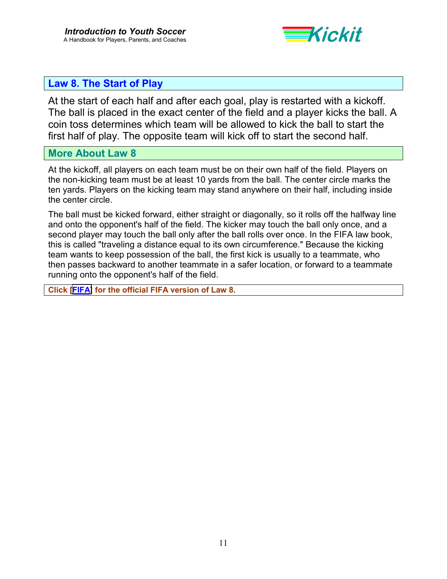

## **Law 8. The Start of Play**

At the start of each half and after each goal, play is restarted with a kickoff. The ball is placed in the exact center of the field and a player kicks the ball. A coin toss determines which team will be allowed to kick the ball to start the first half of play. The opposite team will kick off to start the second half.

### **More About Law 8**

At the kickoff, all players on each team must be on their own half of the field. Players on the non-kicking team must be at least 10 yards from the ball. The center circle marks the ten yards. Players on the kicking team may stand anywhere on their half, including inside the center circle.

The ball must be kicked forward, either straight or diagonally, so it rolls off the halfway line and onto the opponent's half of the field. The kicker may touch the ball only once, and a second player may touch the ball only after the ball rolls over once. In the FIFA law book, this is called "traveling a distance equal to its own circumference." Because the kicking team wants to keep possession of the ball, the first kick is usually to a teammate, who then passes backward to another teammate in a safer location, or forward to a teammate running onto the opponent's half of the field.

**Click [\[FIFA\]](http://www.fifa.com/fifa/handbook/laws/law.8.frame.html) for the official FIFA version of Law 8.**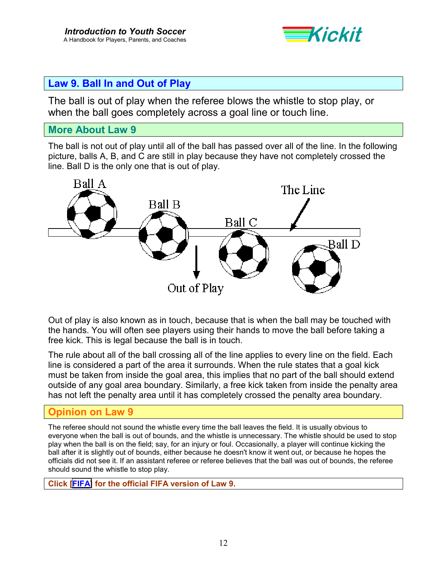

## **Law 9. Ball In and Out of Play**

The ball is out of play when the referee blows the whistle to stop play, or when the ball goes completely across a goal line or touch line.

### **More About Law 9**

The ball is not out of play until all of the ball has passed over all of the line. In the following picture, balls A, B, and C are still in play because they have not completely crossed the line. Ball D is the only one that is out of play.



Out of play is also known as in touch, because that is when the ball may be touched with the hands. You will often see players using their hands to move the ball before taking a free kick. This is legal because the ball is in touch.

The rule about all of the ball crossing all of the line applies to every line on the field. Each line is considered a part of the area it surrounds. When the rule states that a goal kick must be taken from inside the goal area, this implies that no part of the ball should extend outside of any goal area boundary. Similarly, a free kick taken from inside the penalty area has not left the penalty area until it has completely crossed the penalty area boundary.

## **Opinion on Law 9**

The referee should not sound the whistle every time the ball leaves the field. It is usually obvious to everyone when the ball is out of bounds, and the whistle is unnecessary. The whistle should be used to stop play when the ball is on the field; say, for an injury or foul. Occasionally, a player will continue kicking the ball after it is slightly out of bounds, either because he doesn't know it went out, or because he hopes the officials did not see it. If an assistant referee or referee believes that the ball was out of bounds, the referee should sound the whistle to stop play.

**Click [\[FIFA\]](http://www.fifa.com/fifa/handbook/laws/law.9.frame.html) for the official FIFA version of Law 9.**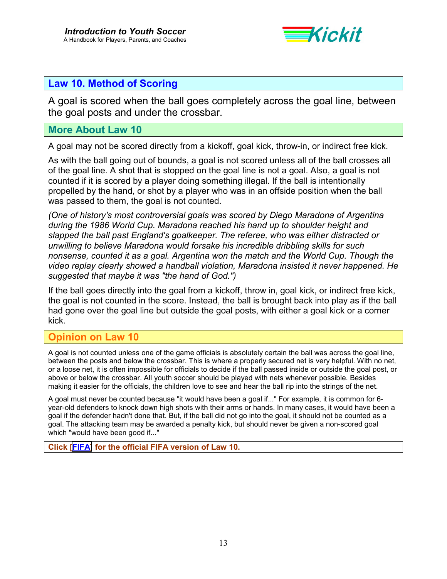

## **Law 10. Method of Scoring**

A goal is scored when the ball goes completely across the goal line, between the goal posts and under the crossbar.

### **More About Law 10**

A goal may not be scored directly from a kickoff, goal kick, throw-in, or indirect free kick.

As with the ball going out of bounds, a goal is not scored unless all of the ball crosses all of the goal line. A shot that is stopped on the goal line is not a goal. Also, a goal is not counted if it is scored by a player doing something illegal. If the ball is intentionally propelled by the hand, or shot by a player who was in an offside position when the ball was passed to them, the goal is not counted.

*(One of history's most controversial goals was scored by Diego Maradona of Argentina during the 1986 World Cup. Maradona reached his hand up to shoulder height and slapped the ball past England's goalkeeper. The referee, who was either distracted or unwilling to believe Maradona would forsake his incredible dribbling skills for such nonsense, counted it as a goal. Argentina won the match and the World Cup. Though the video replay clearly showed a handball violation, Maradona insisted it never happened. He suggested that maybe it was "the hand of God.")* 

If the ball goes directly into the goal from a kickoff, throw in, goal kick, or indirect free kick, the goal is not counted in the score. Instead, the ball is brought back into play as if the ball had gone over the goal line but outside the goal posts, with either a goal kick or a corner kick.

## **Opinion on Law 10**

A goal is not counted unless one of the game officials is absolutely certain the ball was across the goal line, between the posts and below the crossbar. This is where a properly secured net is very helpful. With no net, or a loose net, it is often impossible for officials to decide if the ball passed inside or outside the goal post, or above or below the crossbar. All youth soccer should be played with nets whenever possible. Besides making it easier for the officials, the children love to see and hear the ball rip into the strings of the net.

A goal must never be counted because "it would have been a goal if..." For example, it is common for 6 year-old defenders to knock down high shots with their arms or hands. In many cases, it would have been a goal if the defender hadn't done that. But, if the ball did not go into the goal, it should not be counted as a goal. The attacking team may be awarded a penalty kick, but should never be given a non-scored goal which "would have been good if..."

**Click [\[FIFA\]](http://www.fifa.com/fifa/handbook/laws/law.10.frame.html) for the official FIFA version of Law 10.**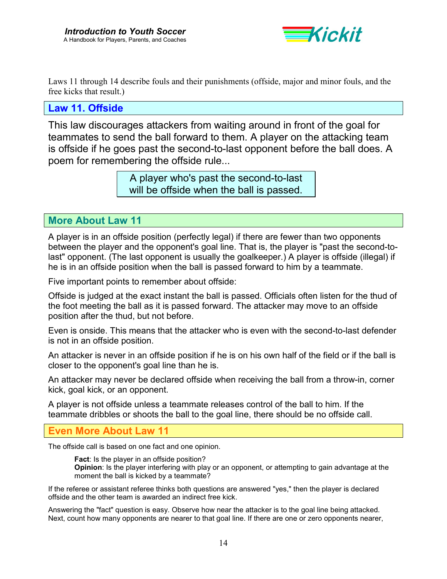

Laws 11 through 14 describe fouls and their punishments (offside, major and minor fouls, and the free kicks that result.)

### **Law 11. Offside**

This law discourages attackers from waiting around in front of the goal for teammates to send the ball forward to them. A player on the attacking team is offside if he goes past the second-to-last opponent before the ball does. A poem for remembering the offside rule...

> A player who's past the second-to-last will be offside when the ball is passed.

**More About Law 11** 

A player is in an offside position (perfectly legal) if there are fewer than two opponents between the player and the opponent's goal line. That is, the player is "past the second-tolast" opponent. (The last opponent is usually the goalkeeper.) A player is offside (illegal) if he is in an offside position when the ball is passed forward to him by a teammate.

Five important points to remember about offside:

Offside is judged at the exact instant the ball is passed. Officials often listen for the thud of the foot meeting the ball as it is passed forward. The attacker may move to an offside position after the thud, but not before.

Even is onside. This means that the attacker who is even with the second-to-last defender is not in an offside position.

An attacker is never in an offside position if he is on his own half of the field or if the ball is closer to the opponent's goal line than he is.

An attacker may never be declared offside when receiving the ball from a throw-in, corner kick, goal kick, or an opponent.

A player is not offside unless a teammate releases control of the ball to him. If the teammate dribbles or shoots the ball to the goal line, there should be no offside call.

### **Even More About Law 11**

The offside call is based on one fact and one opinion.

**Fact**: Is the player in an offside position? **Opinion**: Is the player interfering with play or an opponent, or attempting to gain advantage at the moment the ball is kicked by a teammate?

If the referee or assistant referee thinks both questions are answered "yes," then the player is declared offside and the other team is awarded an indirect free kick.

Answering the "fact" question is easy. Observe how near the attacker is to the goal line being attacked. Next, count how many opponents are nearer to that goal line. If there are one or zero opponents nearer,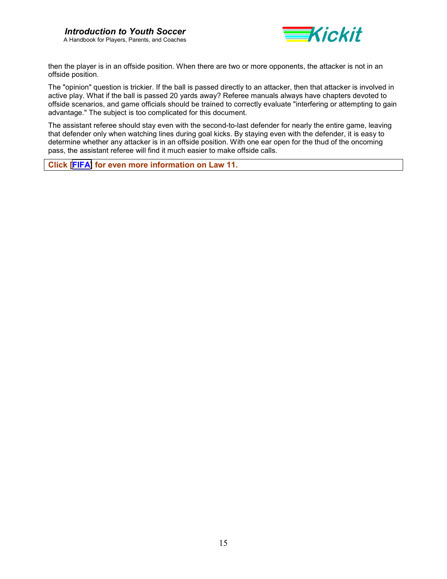

then the player is in an offside position. When there are two or more opponents, the attacker is not in an offside position.

The "opinion" question is trickier. If the ball is passed directly to an attacker, then that attacker is involved in active play. What if the ball is passed 20 yards away? Referee manuals always have chapters devoted to offside scenarios, and game officials should be trained to correctly evaluate "interfering or attempting to gain advantage." The subject is too complicated for this document.

The assistant referee should stay even with the second-to-last defender for nearly the entire game, leaving that defender only when watching lines during goal kicks. By staying even with the defender, it is easy to determine whether any attacker is in an offside position. With one ear open for the thud of the oncoming pass, the assistant referee will find it much easier to make offside calls.

**Click [\[FIFA\]](http://www.fifa.com/fifa/handbook/laws/law.11.frame.html) for even more information on Law 11.**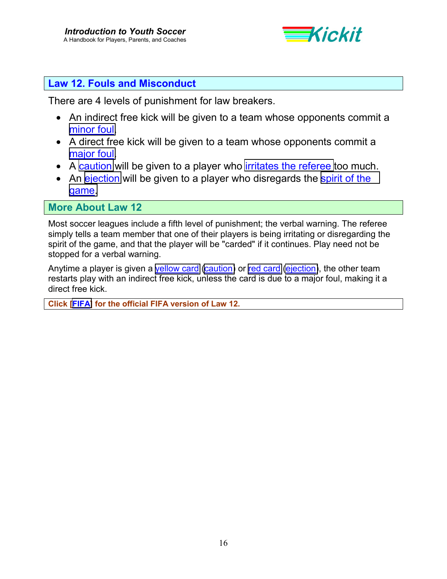

## **Law 12. Fouls and Misconduct**

There are 4 levels of punishment for law breakers.

- An indirect free kick will be given to a team whose opponents commit a [minor foul.](#page-29-0)
- A direct free kick will be given to a team whose opponents commit a [major foul.](#page-28-0)
- A [caution](#page-22-0) will be given to a player who [irritates the referee](#page-27-0) too much.
- An [ejection](#page-26-0) will be given to a player who disregards the spirit of the [game.](#page-34-0)

**More About Law 12** 

Most soccer leagues include a fifth level of punishment; the verbal warning. The referee simply tells a team member that one of their players is being irritating or disregarding the spirit of the game, and that the player will be "carded" if it continues. Play need not be stopped for a verbal warning.

Anytime a player is given a [yellow card](#page-39-0) [\(caution\)](#page-22-0) or [red card](#page-32-0) [\(ejection\)](#page-26-0), the other team restarts play with an indirect free kick, unless the card is due to a major foul, making it a direct free kick.

**Click [\[FIFA\]](http://www.fifa.com/fifa/handbook/laws/law.12.frame.html) for the official FIFA version of Law 12.**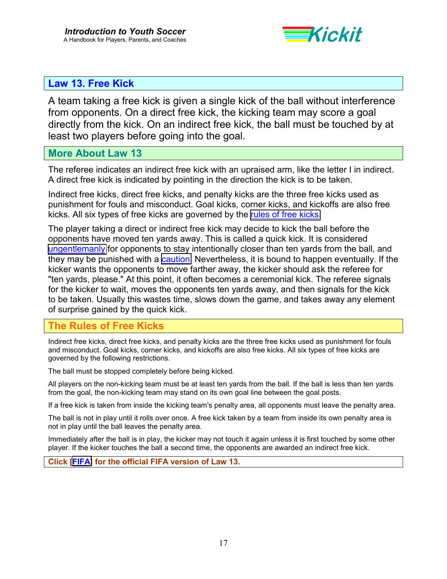

## <span id="page-16-0"></span>**Law 13. Free Kick**

A team taking a free kick is given a single kick of the ball without interference from opponents. On a direct free kick, the kicking team may score a goal directly from the kick. On an indirect free kick, the ball must be touched by at least two players before going into the goal.

### **More About Law 13**

The referee indicates an indirect free kick with an upraised arm, like the letter I in indirect. A direct free kick is indicated by pointing in the direction the kick is to be taken.

Indirect free kicks, direct free kicks, and penalty kicks are the three free kicks used as punishment for fouls and misconduct. Goal kicks, corner kicks, and kickoffs are also free kicks. All six types of free kicks are governed by the rules of free kicks.

The player taking a direct or indirect free kick may decide to kick the ball before the opponents have moved ten yards away. This is called a quick kick. It is considered [ungentlemanly](#page-38-0) for opponents to stay intentionally closer than ten yards from the ball, and they may be punished with a **caution**. Nevertheless, it is bound to happen eventually. If the kicker wants the opponents to move farther away, the kicker should ask the referee for "ten yards, please." At this point, it often becomes a ceremonial kick. The referee signals for the kicker to wait, moves the opponents ten yards away, and then signals for the kick to be taken. Usually this wastes time, slows down the game, and takes away any element of surprise gained by the quick kick.

## **The Rules of Free Kicks**

Indirect free kicks, direct free kicks, and penalty kicks are the three free kicks used as punishment for fouls and misconduct. Goal kicks, corner kicks, and kickoffs are also free kicks. All six types of free kicks are governed by the following restrictions.

The ball must be stopped completely before being kicked.

All players on the non-kicking team must be at least ten yards from the ball. If the ball is less than ten yards from the goal, the non-kicking team may stand on its own goal line between the goal posts.

If a free kick is taken from inside the kicking team's penalty area, all opponents must leave the penalty area.

The ball is not in play until it rolls over once. A free kick taken by a team from inside its own penalty area is not in play until the ball leaves the penalty area.

Immediately after the ball is in play, the kicker may not touch it again unless it is first touched by some other player. If the kicker touches the ball a second time, the opponents are awarded an indirect free kick.

**Click [\[FIFA\]](http://www.fifa.com/fifa/handbook/laws/law.13.frame.html) for the official FIFA version of Law 13.**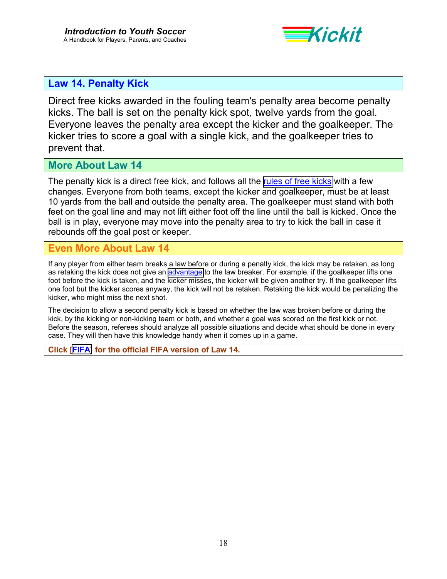

## **Law 14. Penalty Kick**

Direct free kicks awarded in the fouling team's penalty area become penalty kicks. The ball is set on the penalty kick spot, twelve yards from the goal. Everyone leaves the penalty area except the kicker and the goalkeeper. The kicker tries to score a goal with a single kick, and the goalkeeper tries to prevent that.

### **More About Law 14**

The penalty kick is a direct free kick, and follows all the [rules of free kicks](#page-16-0) with a few changes. Everyone from both teams, except the kicker and goalkeeper, must be at least 10 yards from the ball and outside the penalty area. The goalkeeper must stand with both feet on the goal line and may not lift either foot off the line until the ball is kicked. Once the ball is in play, everyone may move into the penalty area to try to kick the ball in case it rebounds off the goal post or keeper.

### **Even More About Law 14**

If any player from either team breaks a law before or during a penalty kick, the kick may be retaken, as long as retaking the kick does not give an [advantage](#page-21-0) to the law breaker. For example, if the goalkeeper lifts one foot before the kick is taken, and the kicker misses, the kicker will be given another try. If the goalkeeper lifts one foot but the kicker scores anyway, the kick will not be retaken. Retaking the kick would be penalizing the kicker, who might miss the next shot.

The decision to allow a second penalty kick is based on whether the law was broken before or during the kick, by the kicking or non-kicking team or both, and whether a goal was scored on the first kick or not. Before the season, referees should analyze all possible situations and decide what should be done in every case. They will then have this knowledge handy when it comes up in a game.

**Click [\[FIFA\]](http://www.fifa.com/fifa/handbook/laws/law.14.frame.html) for the official FIFA version of Law 14.**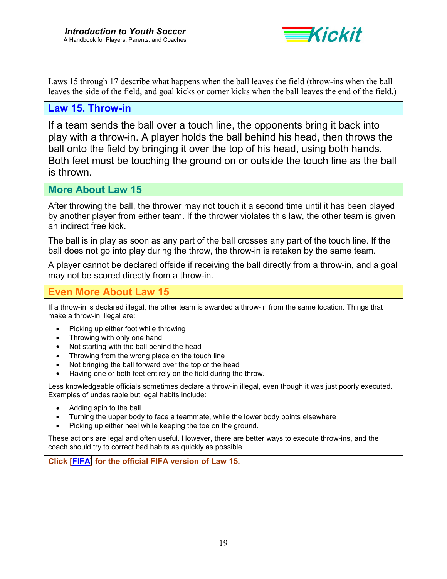

Laws 15 through 17 describe what happens when the ball leaves the field (throw-ins when the ball leaves the side of the field, and goal kicks or corner kicks when the ball leaves the end of the field.)

### **Law 15. Throw-in**

If a team sends the ball over a touch line, the opponents bring it back into play with a throw-in. A player holds the ball behind his head, then throws the ball onto the field by bringing it over the top of his head, using both hands. Both feet must be touching the ground on or outside the touch line as the ball is thrown.

**More About Law 15** 

After throwing the ball, the thrower may not touch it a second time until it has been played by another player from either team. If the thrower violates this law, the other team is given an indirect free kick.

The ball is in play as soon as any part of the ball crosses any part of the touch line. If the ball does not go into play during the throw, the throw-in is retaken by the same team.

A player cannot be declared offside if receiving the ball directly from a throw-in, and a goal may not be scored directly from a throw-in.

### **Even More About Law 15**

If a throw-in is declared illegal, the other team is awarded a throw-in from the same location. Things that make a throw-in illegal are:

- Picking up either foot while throwing
- Throwing with only one hand
- Not starting with the ball behind the head
- Throwing from the wrong place on the touch line
- Not bringing the ball forward over the top of the head
- Having one or both feet entirely on the field during the throw.

Less knowledgeable officials sometimes declare a throw-in illegal, even though it was just poorly executed. Examples of undesirable but legal habits include:

- Adding spin to the ball
- Turning the upper body to face a teammate, while the lower body points elsewhere
- Picking up either heel while keeping the toe on the ground.

These actions are legal and often useful. However, there are better ways to execute throw-ins, and the coach should try to correct bad habits as quickly as possible.

**Click [\[FIFA\]](http://www.fifa.com/fifa/handbook/laws/law.15.frame.html) for the official FIFA version of Law 15.**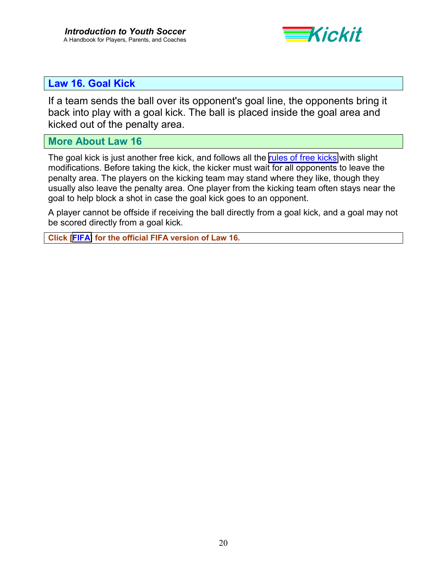

## **Law 16. Goal Kick**

If a team sends the ball over its opponent's goal line, the opponents bring it back into play with a goal kick. The ball is placed inside the goal area and kicked out of the penalty area.

### **More About Law 16**

The goal kick is just another free kick, and follows all the [rules of free kicks](#page-16-0) with slight modifications. Before taking the kick, the kicker must wait for all opponents to leave the penalty area. The players on the kicking team may stand where they like, though they usually also leave the penalty area. One player from the kicking team often stays near the goal to help block a shot in case the goal kick goes to an opponent.

A player cannot be offside if receiving the ball directly from a goal kick, and a goal may not be scored directly from a goal kick.

**Click [\[FIFA\]](http://www.fifa.com/fifa/handbook/laws/law.16.frame.html) for the official FIFA version of Law 16.**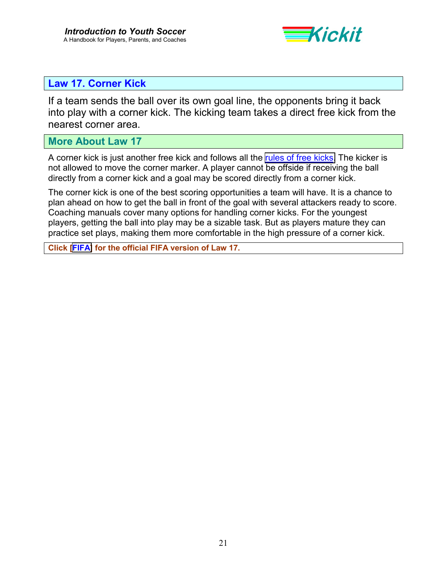

## **Law 17. Corner Kick**

If a team sends the ball over its own goal line, the opponents bring it back into play with a corner kick. The kicking team takes a direct free kick from the nearest corner area.

### **More About Law 17**

A corner kick is just another free kick and follows all the [rules of free kicks.](#page-16-0) The kicker is not allowed to move the corner marker. A player cannot be offside if receiving the ball directly from a corner kick and a goal may be scored directly from a corner kick.

The corner kick is one of the best scoring opportunities a team will have. It is a chance to plan ahead on how to get the ball in front of the goal with several attackers ready to score. Coaching manuals cover many options for handling corner kicks. For the youngest players, getting the ball into play may be a sizable task. But as players mature they can practice set plays, making them more comfortable in the high pressure of a corner kick.

**Click [\[FIFA\]](http://www.fifa.com/fifa/handbook/laws/law.17.frame.html) for the official FIFA version of Law 17.**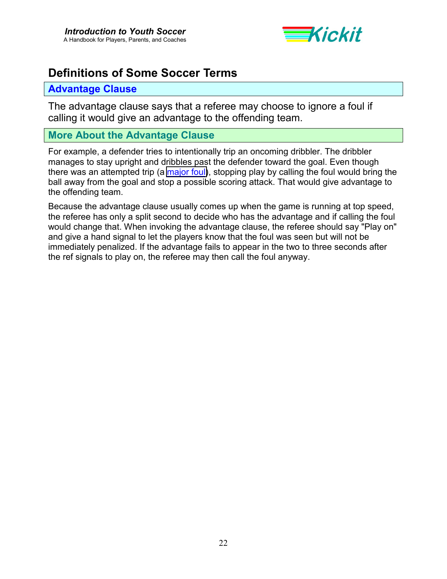

# <span id="page-21-0"></span>**Definitions of Some Soccer Terms**

### **Advantage Clause**

The advantage clause says that a referee may choose to ignore a foul if calling it would give an advantage to the offending team.

## **More About the Advantage Clause**

For example, a defender tries to intentionally trip an oncoming dribbler. The dribbler manages to stay upright and dribbles past the defender toward the goal. Even though there was an attempted trip (a [major foul\)](#page-28-0), stopping play by calling the foul would bring the ball away from the goal and stop a possible scoring attack. That would give advantage to the offending team.

Because the advantage clause usually comes up when the game is running at top speed, the referee has only a split second to decide who has the advantage and if calling the foul would change that. When invoking the advantage clause, the referee should say "Play on" and give a hand signal to let the players know that the foul was seen but will not be immediately penalized. If the advantage fails to appear in the two to three seconds after the ref signals to play on, the referee may then call the foul anyway.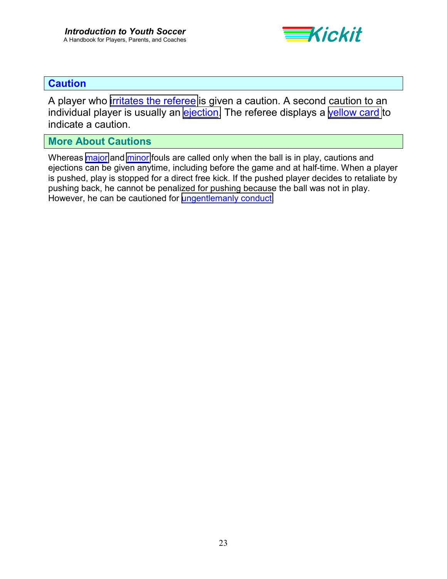

## <span id="page-22-0"></span>**Caution**

A player who [irritates the referee](#page-27-0) is given a caution. A second caution to an individual player is usually an [ejection.](#page-26-0) The referee displays a [yellow card](#page-39-0) to indicate a caution.

## **More About Cautions**

Whereas [major](#page-28-0) and [minor](#page-29-0) fouls are called only when the ball is in play, cautions and ejections can be given anytime, including before the game and at half-time. When a player is pushed, play is stopped for a direct free kick. If the pushed player decides to retaliate by pushing back, he cannot be penalized for pushing because the ball was not in play. However, he can be cautioned for [ungentlemanly conduct.](#page-38-0)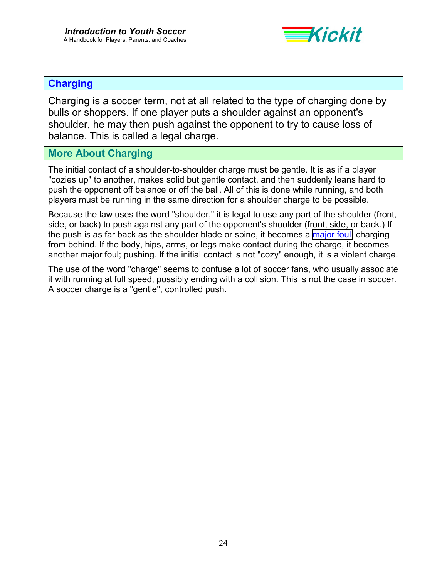

## <span id="page-23-0"></span>**Charging**

Charging is a soccer term, not at all related to the type of charging done by bulls or shoppers. If one player puts a shoulder against an opponent's shoulder, he may then push against the opponent to try to cause loss of balance. This is called a legal charge.

## **More About Charging**

The initial contact of a shoulder-to-shoulder charge must be gentle. It is as if a player "cozies up" to another, makes solid but gentle contact, and then suddenly leans hard to push the opponent off balance or off the ball. All of this is done while running, and both players must be running in the same direction for a shoulder charge to be possible.

Because the law uses the word "shoulder," it is legal to use any part of the shoulder (front, side, or back) to push against any part of the opponent's shoulder (front, side, or back.) If the push is as far back as the shoulder blade or spine, it becomes a [major foul;](#page-28-0) charging from behind. If the body, hips, arms, or legs make contact during the charge, it becomes another major foul; pushing. If the initial contact is not "cozy" enough, it is a violent charge.

The use of the word "charge" seems to confuse a lot of soccer fans, who usually associate it with running at full speed, possibly ending with a collision. This is not the case in soccer. A soccer charge is a "gentle", controlled push.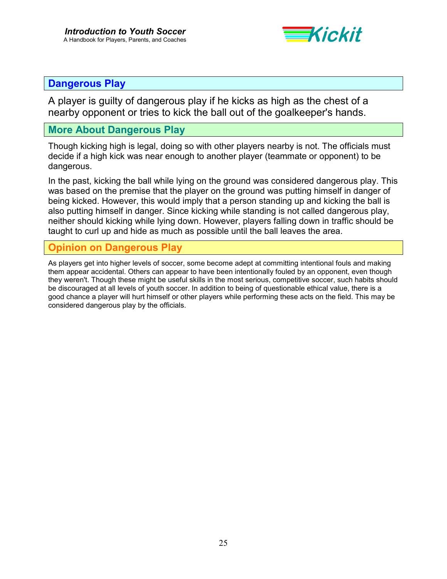

### <span id="page-24-0"></span>**Dangerous Play**

A player is guilty of dangerous play if he kicks as high as the chest of a nearby opponent or tries to kick the ball out of the goalkeeper's hands.

## **More About Dangerous Play**

Though kicking high is legal, doing so with other players nearby is not. The officials must decide if a high kick was near enough to another player (teammate or opponent) to be dangerous.

In the past, kicking the ball while lying on the ground was considered dangerous play. This was based on the premise that the player on the ground was putting himself in danger of being kicked. However, this would imply that a person standing up and kicking the ball is also putting himself in danger. Since kicking while standing is not called dangerous play, neither should kicking while lying down. However, players falling down in traffic should be taught to curl up and hide as much as possible until the ball leaves the area.

## **Opinion on Dangerous Play**

As players get into higher levels of soccer, some become adept at committing intentional fouls and making them appear accidental. Others can appear to have been intentionally fouled by an opponent, even though they weren't. Though these might be useful skills in the most serious, competitive soccer, such habits should be discouraged at all levels of youth soccer. In addition to being of questionable ethical value, there is a good chance a player will hurt himself or other players while performing these acts on the field. This may be considered dangerous play by the officials.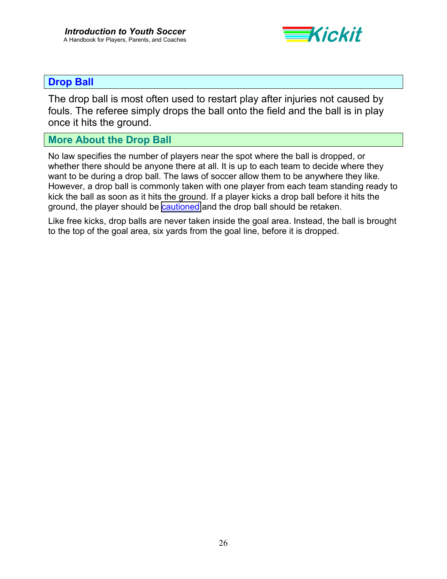

## <span id="page-25-0"></span>**Drop Ball**

The drop ball is most often used to restart play after injuries not caused by fouls. The referee simply drops the ball onto the field and the ball is in play once it hits the ground.

## **More About the Drop Ball**

No law specifies the number of players near the spot where the ball is dropped, or whether there should be anyone there at all. It is up to each team to decide where they want to be during a drop ball. The laws of soccer allow them to be anywhere they like. However, a drop ball is commonly taken with one player from each team standing ready to kick the ball as soon as it hits the ground. If a player kicks a drop ball before it hits the ground, the player should be [cautioned](#page-22-0) and the drop ball should be retaken.

Like free kicks, drop balls are never taken inside the goal area. Instead, the ball is brought to the top of the goal area, six yards from the goal line, before it is dropped.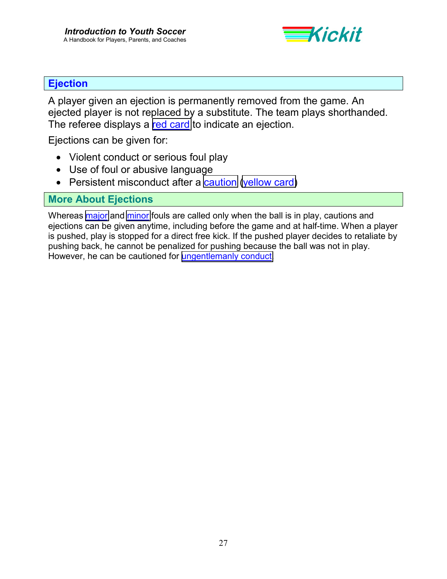

## <span id="page-26-0"></span>**Ejection**

A player given an ejection is permanently removed from the game. An ejected player is not replaced by a substitute. The team plays shorthanded. The referee displays a [red card](#page-32-0) to indicate an ejection.

Ejections can be given for:

- Violent conduct or serious foul play
- Use of foul or abusive language
- Persistent misconduct after a [caution](#page-22-0) [\(yellow card\)](#page-39-0)

## **More About Ejections**

Whereas [major](#page-28-0) and [minor](#page-29-0) fouls are called only when the ball is in play, cautions and ejections can be given anytime, including before the game and at half-time. When a player is pushed, play is stopped for a direct free kick. If the pushed player decides to retaliate by pushing back, he cannot be penalized for pushing because the ball was not in play. However, he can be cautioned for [ungentlemanly conduct.](#page-38-0)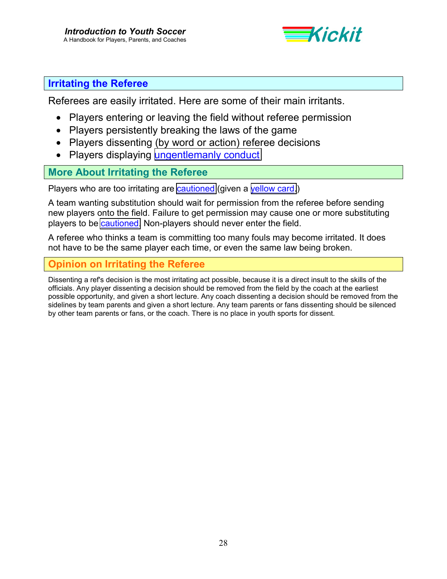

## <span id="page-27-0"></span>**Irritating the Referee**

Referees are easily irritated. Here are some of their main irritants.

- Players entering or leaving the field without referee permission
- Players persistently breaking the laws of the game
- Players dissenting (by word or action) referee decisions
- Players displaying [ungentlemanly conduct](#page-38-0)

## **More About Irritating the Referee**

Players who are too irritating are [cautioned](#page-22-0) (given a [yellow card.](#page-39-0))

A team wanting substitution should wait for permission from the referee before sending new players onto the field. Failure to get permission may cause one or more substituting players to be [cautioned.](#page-22-0) Non-players should never enter the field.

A referee who thinks a team is committing too many fouls may become irritated. It does not have to be the same player each time, or even the same law being broken.

## **Opinion on Irritating the Referee**

Dissenting a ref's decision is the most irritating act possible, because it is a direct insult to the skills of the officials. Any player dissenting a decision should be removed from the field by the coach at the earliest possible opportunity, and given a short lecture. Any coach dissenting a decision should be removed from the sidelines by team parents and given a short lecture. Any team parents or fans dissenting should be silenced by other team parents or fans, or the coach. There is no place in youth sports for dissent.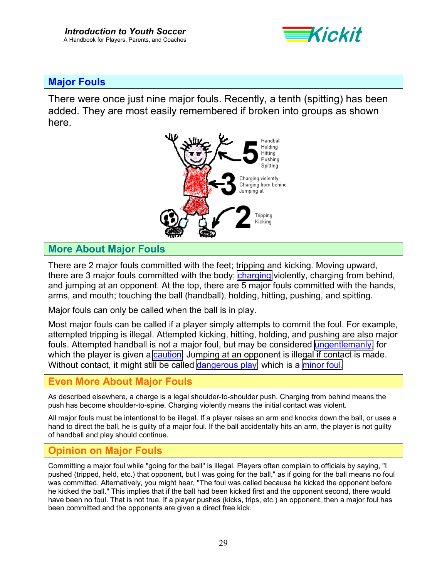

### <span id="page-28-0"></span>**Major Fouls**

There were once just nine major fouls. Recently, a tenth (spitting) has been added. They are most easily remembered if broken into groups as shown here.



## **More About Major Fouls**

There are 2 major fouls committed with the feet; tripping and kicking. Moving upward, there are 3 major fouls committed with the body; [charging](#page-23-0) violently, charging from behind, and jumping at an opponent. At the top, there are 5 major fouls committed with the hands, arms, and mouth; touching the ball (handball), holding, hitting, pushing, and spitting.

Major fouls can only be called when the ball is in play.

Most major fouls can be called if a player simply attempts to commit the foul. For example, attempted tripping is illegal. Attempted kicking, hitting, holding, and pushing are also major fouls. Attempted handball is not a major foul, but may be considered [ungentlemanly,](#page-38-0) for which the player is given a [caution.](#page-22-0) Jumping at an opponent is illegal if contact is made. Without contact, it might still be called [dangerous play,](#page-24-0) which is a [minor foul.](#page-29-0)

### **Even More About Major Fouls**

As described elsewhere, a charge is a legal shoulder-to-shoulder push. Charging from behind means the push has become shoulder-to-spine. Charging violently means the initial contact was violent.

All major fouls must be intentional to be illegal. If a player raises an arm and knocks down the ball, or uses a hand to direct the ball, he is guilty of a major foul. If the ball accidentally hits an arm, the player is not guilty of handball and play should continue.

### **Opinion on Major Fouls**

Committing a major foul while "going for the ball" is illegal. Players often complain to officials by saying, "I pushed (tripped, held, etc.) that opponent, but I was going for the ball," as if going for the ball means no foul was committed. Alternatively, you might hear, "The foul was called because he kicked the opponent before he kicked the ball." This implies that if the ball had been kicked first and the opponent second, there would have been no foul. That is not true. If a player pushes (kicks, trips, etc.) an opponent, then a major foul has been committed and the opponents are given a direct free kick.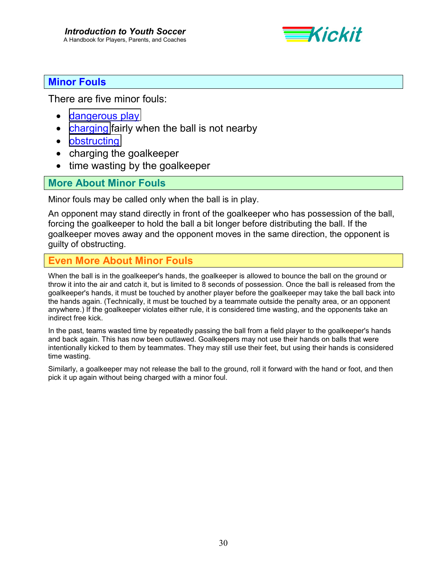

## <span id="page-29-0"></span>**Minor Fouls**

There are five minor fouls:

- [dangerous play](#page-24-0)
- [charging](#page-23-0) fairly when the ball is not nearby
- [obstructing](#page-30-0)
- charging the goalkeeper
- time wasting by the goalkeeper

## **More About Minor Fouls**

Minor fouls may be called only when the ball is in play.

An opponent may stand directly in front of the goalkeeper who has possession of the ball, forcing the goalkeeper to hold the ball a bit longer before distributing the ball. If the goalkeeper moves away and the opponent moves in the same direction, the opponent is guilty of obstructing.

## **Even More About Minor Fouls**

When the ball is in the goalkeeper's hands, the goalkeeper is allowed to bounce the ball on the ground or throw it into the air and catch it, but is limited to 8 seconds of possession. Once the ball is released from the goalkeeper's hands, it must be touched by another player before the goalkeeper may take the ball back into the hands again. (Technically, it must be touched by a teammate outside the penalty area, or an opponent anywhere.) If the goalkeeper violates either rule, it is considered time wasting, and the opponents take an indirect free kick.

In the past, teams wasted time by repeatedly passing the ball from a field player to the goalkeeper's hands and back again. This has now been outlawed. Goalkeepers may not use their hands on balls that were intentionally kicked to them by teammates. They may still use their feet, but using their hands is considered time wasting.

Similarly, a goalkeeper may not release the ball to the ground, roll it forward with the hand or foot, and then pick it up again without being charged with a minor foul.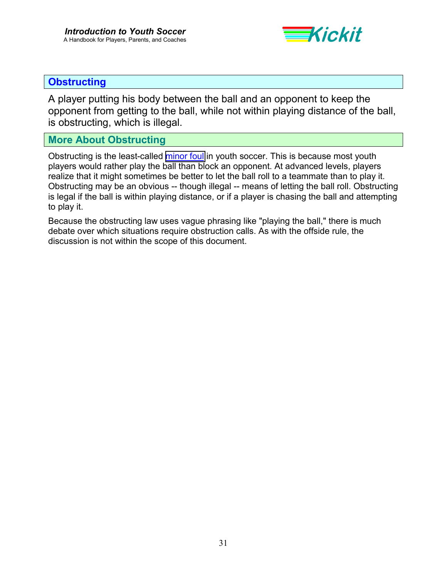

## <span id="page-30-0"></span>**Obstructing**

A player putting his body between the ball and an opponent to keep the opponent from getting to the ball, while not within playing distance of the ball, is obstructing, which is illegal.

## **More About Obstructing**

Obstructing is the least-called [minor foul](#page-29-0) in youth soccer. This is because most youth players would rather play the ball than block an opponent. At advanced levels, players realize that it might sometimes be better to let the ball roll to a teammate than to play it. Obstructing may be an obvious -- though illegal -- means of letting the ball roll. Obstructing is legal if the ball is within playing distance, or if a player is chasing the ball and attempting to play it.

Because the obstructing law uses vague phrasing like "playing the ball," there is much debate over which situations require obstruction calls. As with the offside rule, the discussion is not within the scope of this document.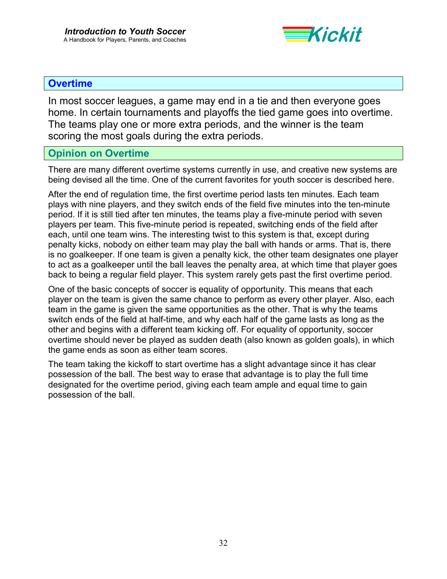

## <span id="page-31-0"></span>**Overtime**

In most soccer leagues, a game may end in a tie and then everyone goes home. In certain tournaments and playoffs the tied game goes into overtime. The teams play one or more extra periods, and the winner is the team scoring the most goals during the extra periods.

### **Opinion on Overtime**

There are many different overtime systems currently in use, and creative new systems are being devised all the time. One of the current favorites for youth soccer is described here.

After the end of regulation time, the first overtime period lasts ten minutes. Each team plays with nine players, and they switch ends of the field five minutes into the ten-minute period. If it is still tied after ten minutes, the teams play a five-minute period with seven players per team. This five-minute period is repeated, switching ends of the field after each, until one team wins. The interesting twist to this system is that, except during penalty kicks, nobody on either team may play the ball with hands or arms. That is, there is no goalkeeper. If one team is given a penalty kick, the other team designates one player to act as a goalkeeper until the ball leaves the penalty area, at which time that player goes back to being a regular field player. This system rarely gets past the first overtime period.

One of the basic concepts of soccer is equality of opportunity. This means that each player on the team is given the same chance to perform as every other player. Also, each team in the game is given the same opportunities as the other. That is why the teams switch ends of the field at half-time, and why each half of the game lasts as long as the other and begins with a different team kicking off. For equality of opportunity, soccer overtime should never be played as sudden death (also known as golden goals), in which the game ends as soon as either team scores.

The team taking the kickoff to start overtime has a slight advantage since it has clear possession of the ball. The best way to erase that advantage is to play the full time designated for the overtime period, giving each team ample and equal time to gain possession of the ball.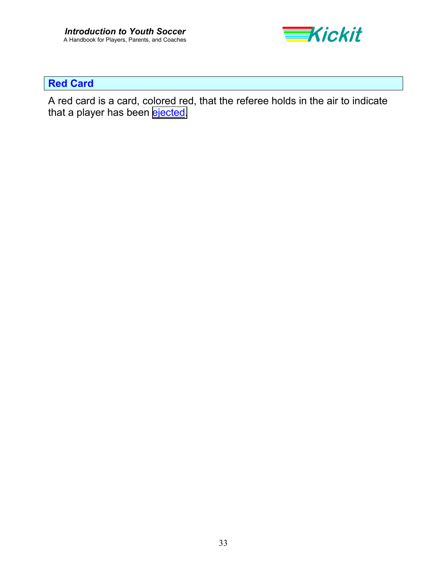

## <span id="page-32-0"></span>**Red Card**

A red card is a card, colored red, that the referee holds in the air to indicate that a player has been [ejected.](#page-26-0)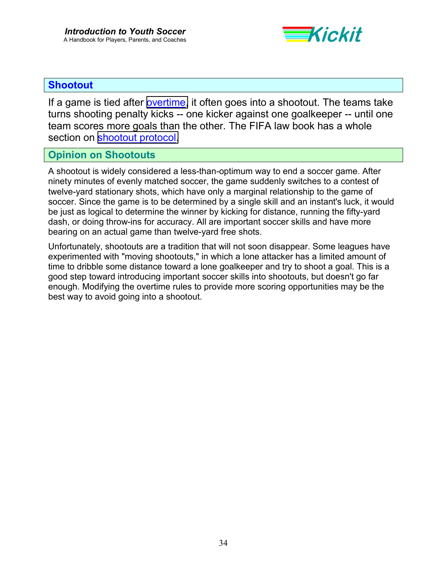

## **Shootout**

If a game is tied after [overtime,](#page-31-0) it often goes into a shootout. The teams take turns shooting penalty kicks -- one kicker against one goalkeeper -- until one team scores more goals than the other. The FIFA law book has a whole section on [shootout protocol.](http://www.fifa.com/fifa/handbook/laws/law.18.frame.html)

## **Opinion on Shootouts**

A shootout is widely considered a less-than-optimum way to end a soccer game. After ninety minutes of evenly matched soccer, the game suddenly switches to a contest of twelve-yard stationary shots, which have only a marginal relationship to the game of soccer. Since the game is to be determined by a single skill and an instant's luck, it would be just as logical to determine the winner by kicking for distance, running the fifty-yard dash, or doing throw-ins for accuracy. All are important soccer skills and have more bearing on an actual game than twelve-yard free shots.

Unfortunately, shootouts are a tradition that will not soon disappear. Some leagues have experimented with "moving shootouts," in which a lone attacker has a limited amount of time to dribble some distance toward a lone goalkeeper and try to shoot a goal. This is a good step toward introducing important soccer skills into shootouts, but doesn't go far enough. Modifying the overtime rules to provide more scoring opportunities may be the best way to avoid going into a shootout.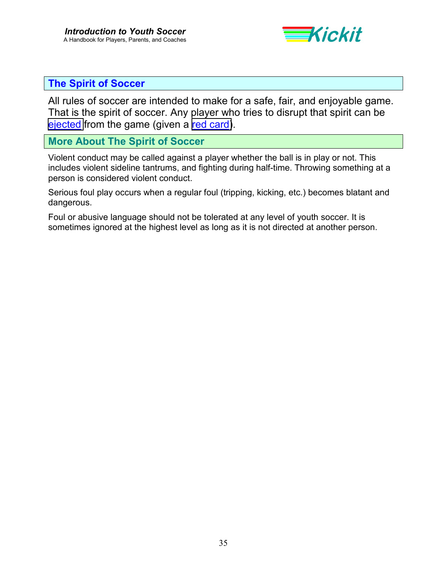

### <span id="page-34-0"></span>**The Spirit of Soccer**

All rules of soccer are intended to make for a safe, fair, and enjoyable game. That is the spirit of soccer. Any player who tries to disrupt that spirit can be [ejected](#page-26-0) from the game (given a [red card\)](#page-32-0).

## **More About The Spirit of Soccer**

Violent conduct may be called against a player whether the ball is in play or not. This includes violent sideline tantrums, and fighting during half-time. Throwing something at a person is considered violent conduct.

Serious foul play occurs when a regular foul (tripping, kicking, etc.) becomes blatant and dangerous.

Foul or abusive language should not be tolerated at any level of youth soccer. It is sometimes ignored at the highest level as long as it is not directed at another person.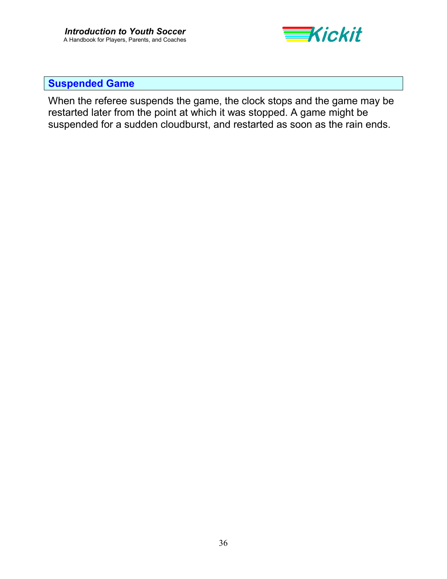

## <span id="page-35-0"></span>**Suspended Game**

When the referee suspends the game, the clock stops and the game may be restarted later from the point at which it was stopped. A game might be suspended for a sudden cloudburst, and restarted as soon as the rain ends.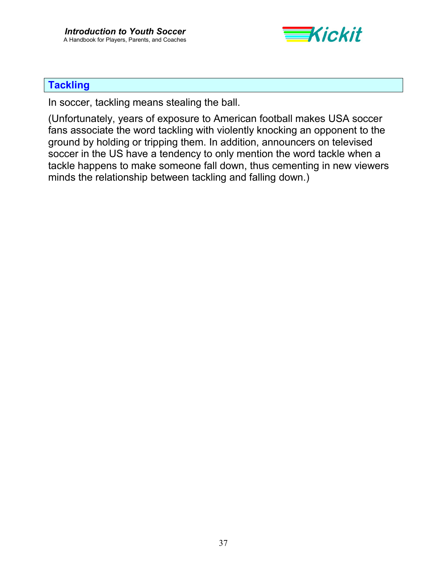

## **Tackling**

In soccer, tackling means stealing the ball.

(Unfortunately, years of exposure to American football makes USA soccer fans associate the word tackling with violently knocking an opponent to the ground by holding or tripping them. In addition, announcers on televised soccer in the US have a tendency to only mention the word tackle when a tackle happens to make someone fall down, thus cementing in new viewers minds the relationship between tackling and falling down.)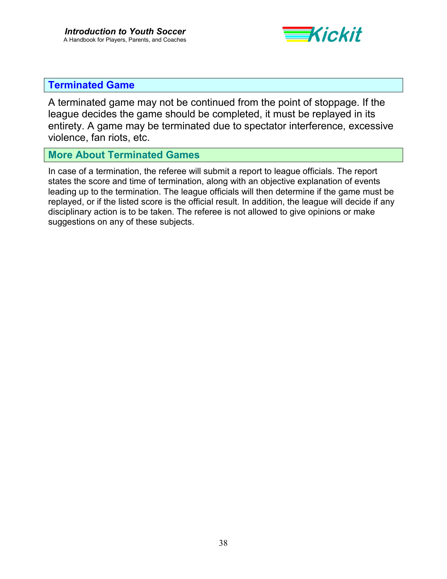

## <span id="page-37-0"></span>**Terminated Game**

A terminated game may not be continued from the point of stoppage. If the league decides the game should be completed, it must be replayed in its entirety. A game may be terminated due to spectator interference, excessive violence, fan riots, etc.

### **More About Terminated Games**

In case of a termination, the referee will submit a report to league officials. The report states the score and time of termination, along with an objective explanation of events leading up to the termination. The league officials will then determine if the game must be replayed, or if the listed score is the official result. In addition, the league will decide if any disciplinary action is to be taken. The referee is not allowed to give opinions or make suggestions on any of these subjects.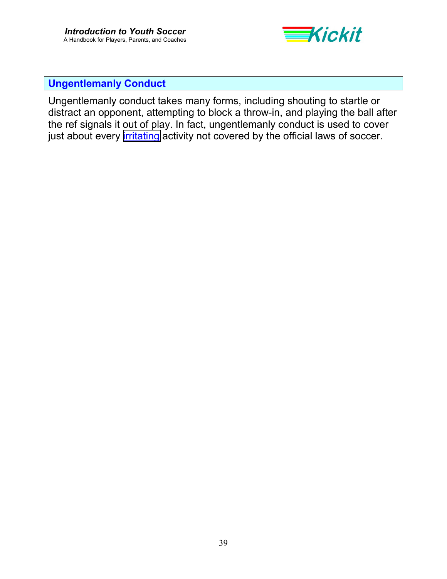

## <span id="page-38-0"></span>**Ungentlemanly Conduct**

Ungentlemanly conduct takes many forms, including shouting to startle or distract an opponent, attempting to block a throw-in, and playing the ball after the ref signals it out of play. In fact, ungentlemanly conduct is used to cover just about every *irritating* activity not covered by the official laws of soccer.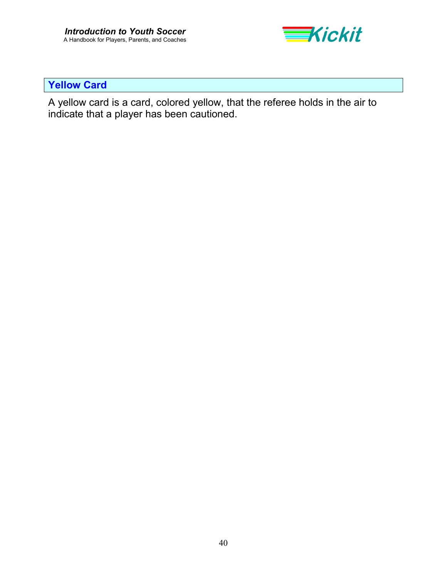

## <span id="page-39-0"></span>**Yellow Card**

A yellow card is a card, colored yellow, that the referee holds in the air to indicate that a player has been cautioned.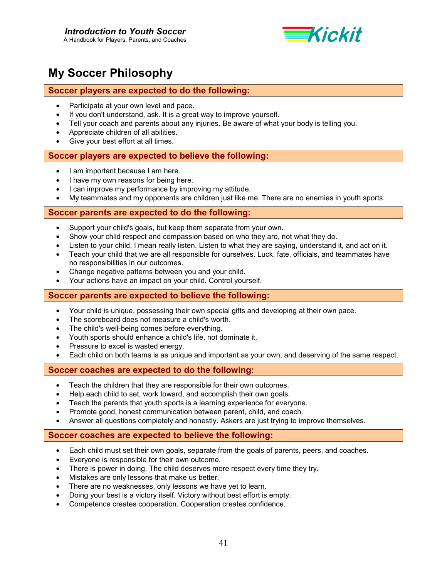

# <span id="page-40-0"></span>**My Soccer Philosophy**

#### **Soccer players are expected to do the following:**

- Participate at your own level and pace.
- If you don't understand, ask. It is a great way to improve yourself.
- Tell your coach and parents about any injuries. Be aware of what your body is telling you.
- Appreciate children of all abilities.
- Give your best effort at all times.

#### **Soccer players are expected to believe the following:**

- I am important because I am here.
- I have my own reasons for being here.
- I can improve my performance by improving my attitude.
- My teammates and my opponents are children just like me. There are no enemies in youth sports.

#### **Soccer parents are expected to do the following:**

- Support your child's goals, but keep them separate from your own.
- Show your child respect and compassion based on who they are, not what they do.
- Listen to your child. I mean really listen. Listen to what they are saying, understand it, and act on it.
- Teach your child that we are all responsible for ourselves. Luck, fate, officials, and teammates have no responsibilities in our outcomes.
- Change negative patterns between you and your child.
- Your actions have an impact on your child. Control yourself.

#### **Soccer parents are expected to believe the following:**

- Your child is unique, possessing their own special gifts and developing at their own pace.
- The scoreboard does not measure a child's worth.
- The child's well-being comes before everything.
- Youth sports should enhance a child's life, not dominate it.
- Pressure to excel is wasted energy.
- Each child on both teams is as unique and important as your own, and deserving of the same respect.

#### **Soccer coaches are expected to do the following:**

- Teach the children that they are responsible for their own outcomes.
- Help each child to set, work toward, and accomplish their own goals.
- Teach the parents that youth sports is a learning experience for everyone.
- Promote good, honest communication between parent, child, and coach.
- Answer all questions completely and honestly. Askers are just trying to improve themselves.

#### **Soccer coaches are expected to believe the following:**

- Each child must set their own goals, separate from the goals of parents, peers, and coaches.
- Everyone is responsible for their own outcome.
- There is power in doing. The child deserves more respect every time they try.
- Mistakes are only lessons that make us better.
- There are no weaknesses, only lessons we have yet to learn.
- Doing your best is a victory itself. Victory without best effort is empty.
- Competence creates cooperation. Cooperation creates confidence.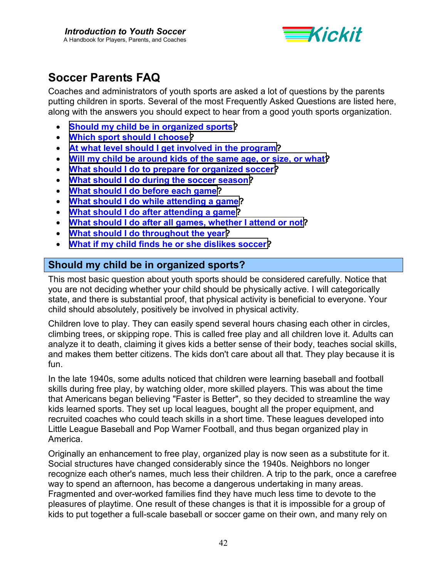

# <span id="page-41-0"></span>**Soccer Parents FAQ**

Coaches and administrators of youth sports are asked a lot of questions by the parents putting children in sports. Several of the most Frequently Asked Questions are listed here, along with the answers you should expect to hear from a good youth sports organization.

- **Should my child be in organized sports?**
- **[Which sport should I choose?](#page-42-0)**
- **[At what level should I get involved in the program?](#page-42-0)**
- **[Will my child be around kids of the same age, or size, or what?](#page-43-0)**
- **[What should I do to prepare for organized soccer?](#page-43-0)**
- **[What should I do during the soccer season?](#page-46-0)**
- **[What should I do before each game?](#page-48-0)**
- **[What should I do while attending a game?](#page-49-0)**
- **[What should I do after attending a game?](#page-51-0)**
- **[What should I do after all games, whether I attend or not?](#page-52-0)**
- **[What should I do throughout the year?](#page-52-0)**
- **[What if my child finds he or she dislikes soccer?](#page-53-0)**

## **Should my child be in organized sports?**

This most basic question about youth sports should be considered carefully. Notice that you are not deciding whether your child should be physically active. I will categorically state, and there is substantial proof, that physical activity is beneficial to everyone. Your child should absolutely, positively be involved in physical activity.

Children love to play. They can easily spend several hours chasing each other in circles, climbing trees, or skipping rope. This is called free play and all children love it. Adults can analyze it to death, claiming it gives kids a better sense of their body, teaches social skills, and makes them better citizens. The kids don't care about all that. They play because it is fun.

In the late 1940s, some adults noticed that children were learning baseball and football skills during free play, by watching older, more skilled players. This was about the time that Americans began believing "Faster is Better", so they decided to streamline the way kids learned sports. They set up local leagues, bought all the proper equipment, and recruited coaches who could teach skills in a short time. These leagues developed into Little League Baseball and Pop Warner Football, and thus began organized play in America.

Originally an enhancement to free play, organized play is now seen as a substitute for it. Social structures have changed considerably since the 1940s. Neighbors no longer recognize each other's names, much less their children. A trip to the park, once a carefree way to spend an afternoon, has become a dangerous undertaking in many areas. Fragmented and over-worked families find they have much less time to devote to the pleasures of playtime. One result of these changes is that it is impossible for a group of kids to put together a full-scale baseball or soccer game on their own, and many rely on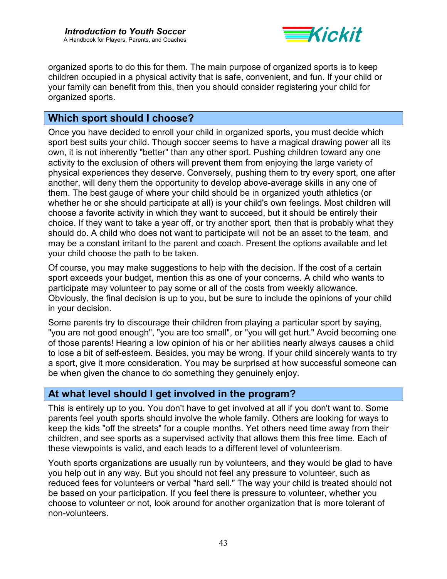

<span id="page-42-0"></span>organized sports to do this for them. The main purpose of organized sports is to keep children occupied in a physical activity that is safe, convenient, and fun. If your child or your family can benefit from this, then you should consider registering your child for organized sports.

## **Which sport should I choose?**

Once you have decided to enroll your child in organized sports, you must decide which sport best suits your child. Though soccer seems to have a magical drawing power all its own, it is not inherently "better" than any other sport. Pushing children toward any one activity to the exclusion of others will prevent them from enjoying the large variety of physical experiences they deserve. Conversely, pushing them to try every sport, one after another, will deny them the opportunity to develop above-average skills in any one of them. The best gauge of where your child should be in organized youth athletics (or whether he or she should participate at all) is your child's own feelings. Most children will choose a favorite activity in which they want to succeed, but it should be entirely their choice. If they want to take a year off, or try another sport, then that is probably what they should do. A child who does not want to participate will not be an asset to the team, and may be a constant irritant to the parent and coach. Present the options available and let your child choose the path to be taken.

Of course, you may make suggestions to help with the decision. If the cost of a certain sport exceeds your budget, mention this as one of your concerns. A child who wants to participate may volunteer to pay some or all of the costs from weekly allowance. Obviously, the final decision is up to you, but be sure to include the opinions of your child in your decision.

Some parents try to discourage their children from playing a particular sport by saying, "you are not good enough", "you are too small", or "you will get hurt." Avoid becoming one of those parents! Hearing a low opinion of his or her abilities nearly always causes a child to lose a bit of self-esteem. Besides, you may be wrong. If your child sincerely wants to try a sport, give it more consideration. You may be surprised at how successful someone can be when given the chance to do something they genuinely enjoy.

## **At what level should I get involved in the program?**

This is entirely up to you. You don't have to get involved at all if you don't want to. Some parents feel youth sports should involve the whole family. Others are looking for ways to keep the kids "off the streets" for a couple months. Yet others need time away from their children, and see sports as a supervised activity that allows them this free time. Each of these viewpoints is valid, and each leads to a different level of volunteerism.

Youth sports organizations are usually run by volunteers, and they would be glad to have you help out in any way. But you should not feel any pressure to volunteer, such as reduced fees for volunteers or verbal "hard sell." The way your child is treated should not be based on your participation. If you feel there is pressure to volunteer, whether you choose to volunteer or not, look around for another organization that is more tolerant of non-volunteers.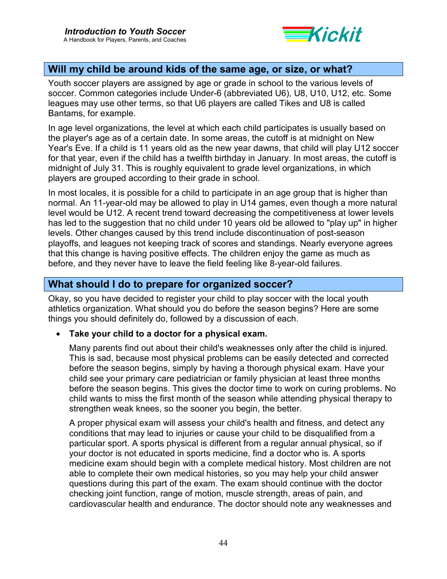

## <span id="page-43-0"></span>**Will my child be around kids of the same age, or size, or what?**

Youth soccer players are assigned by age or grade in school to the various levels of soccer. Common categories include Under-6 (abbreviated U6), U8, U10, U12, etc. Some leagues may use other terms, so that U6 players are called Tikes and U8 is called Bantams, for example.

In age level organizations, the level at which each child participates is usually based on the player's age as of a certain date. In some areas, the cutoff is at midnight on New Year's Eve. If a child is 11 years old as the new year dawns, that child will play U12 soccer for that year, even if the child has a twelfth birthday in January. In most areas, the cutoff is midnight of July 31. This is roughly equivalent to grade level organizations, in which players are grouped according to their grade in school.

In most locales, it is possible for a child to participate in an age group that is higher than normal. An 11-year-old may be allowed to play in U14 games, even though a more natural level would be U12. A recent trend toward decreasing the competitiveness at lower levels has led to the suggestion that no child under 10 years old be allowed to "play up" in higher levels. Other changes caused by this trend include discontinuation of post-season playoffs, and leagues not keeping track of scores and standings. Nearly everyone agrees that this change is having positive effects. The children enjoy the game as much as before, and they never have to leave the field feeling like 8-year-old failures.

## **What should I do to prepare for organized soccer?**

Okay, so you have decided to register your child to play soccer with the local youth athletics organization. What should you do before the season begins? Here are some things you should definitely do, followed by a discussion of each.

#### • **Take your child to a doctor for a physical exam.**

Many parents find out about their child's weaknesses only after the child is injured. This is sad, because most physical problems can be easily detected and corrected before the season begins, simply by having a thorough physical exam. Have your child see your primary care pediatrician or family physician at least three months before the season begins. This gives the doctor time to work on curing problems. No child wants to miss the first month of the season while attending physical therapy to strengthen weak knees, so the sooner you begin, the better.

A proper physical exam will assess your child's health and fitness, and detect any conditions that may lead to injuries or cause your child to be disqualified from a particular sport. A sports physical is different from a regular annual physical, so if your doctor is not educated in sports medicine, find a doctor who is. A sports medicine exam should begin with a complete medical history. Most children are not able to complete their own medical histories, so you may help your child answer questions during this part of the exam. The exam should continue with the doctor checking joint function, range of motion, muscle strength, areas of pain, and cardiovascular health and endurance. The doctor should note any weaknesses and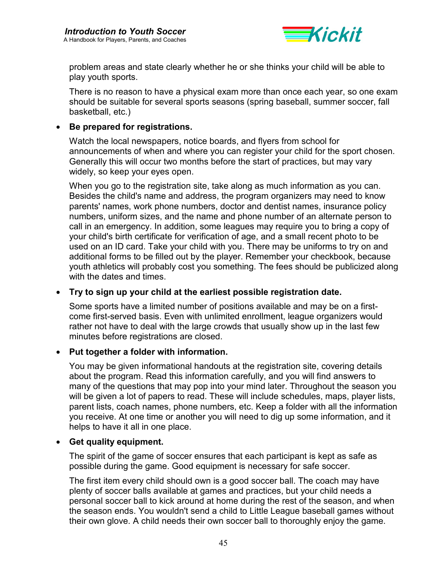

problem areas and state clearly whether he or she thinks your child will be able to play youth sports.

There is no reason to have a physical exam more than once each year, so one exam should be suitable for several sports seasons (spring baseball, summer soccer, fall basketball, etc.)

### • **Be prepared for registrations.**

Watch the local newspapers, notice boards, and flyers from school for announcements of when and where you can register your child for the sport chosen. Generally this will occur two months before the start of practices, but may vary widely, so keep your eyes open.

When you go to the registration site, take along as much information as you can. Besides the child's name and address, the program organizers may need to know parents' names, work phone numbers, doctor and dentist names, insurance policy numbers, uniform sizes, and the name and phone number of an alternate person to call in an emergency. In addition, some leagues may require you to bring a copy of your child's birth certificate for verification of age, and a small recent photo to be used on an ID card. Take your child with you. There may be uniforms to try on and additional forms to be filled out by the player. Remember your checkbook, because youth athletics will probably cost you something. The fees should be publicized along with the dates and times.

#### • **Try to sign up your child at the earliest possible registration date.**

Some sports have a limited number of positions available and may be on a firstcome first-served basis. Even with unlimited enrollment, league organizers would rather not have to deal with the large crowds that usually show up in the last few minutes before registrations are closed.

#### • **Put together a folder with information.**

You may be given informational handouts at the registration site, covering details about the program. Read this information carefully, and you will find answers to many of the questions that may pop into your mind later. Throughout the season you will be given a lot of papers to read. These will include schedules, maps, player lists, parent lists, coach names, phone numbers, etc. Keep a folder with all the information you receive. At one time or another you will need to dig up some information, and it helps to have it all in one place.

#### • **Get quality equipment.**

The spirit of the game of soccer ensures that each participant is kept as safe as possible during the game. Good equipment is necessary for safe soccer.

The first item every child should own is a good soccer ball. The coach may have plenty of soccer balls available at games and practices, but your child needs a personal soccer ball to kick around at home during the rest of the season, and when the season ends. You wouldn't send a child to Little League baseball games without their own glove. A child needs their own soccer ball to thoroughly enjoy the game.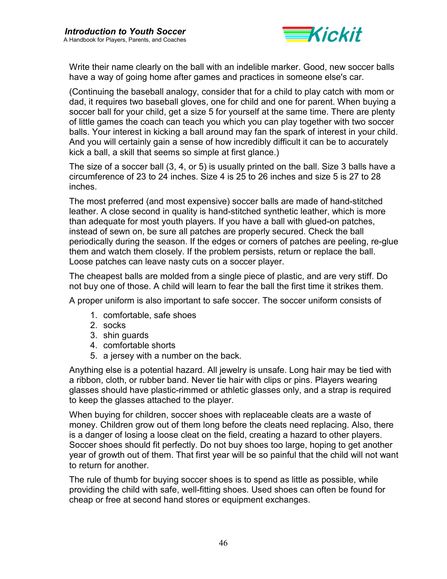

Write their name clearly on the ball with an indelible marker. Good, new soccer balls have a way of going home after games and practices in someone else's car.

(Continuing the baseball analogy, consider that for a child to play catch with mom or dad, it requires two baseball gloves, one for child and one for parent. When buying a soccer ball for your child, get a size 5 for yourself at the same time. There are plenty of little games the coach can teach you which you can play together with two soccer balls. Your interest in kicking a ball around may fan the spark of interest in your child. And you will certainly gain a sense of how incredibly difficult it can be to accurately kick a ball, a skill that seems so simple at first glance.)

The size of a soccer ball (3, 4, or 5) is usually printed on the ball. Size 3 balls have a circumference of 23 to 24 inches. Size 4 is 25 to 26 inches and size 5 is 27 to 28 inches.

The most preferred (and most expensive) soccer balls are made of hand-stitched leather. A close second in quality is hand-stitched synthetic leather, which is more than adequate for most youth players. If you have a ball with glued-on patches, instead of sewn on, be sure all patches are properly secured. Check the ball periodically during the season. If the edges or corners of patches are peeling, re-glue them and watch them closely. If the problem persists, return or replace the ball. Loose patches can leave nasty cuts on a soccer player.

The cheapest balls are molded from a single piece of plastic, and are very stiff. Do not buy one of those. A child will learn to fear the ball the first time it strikes them.

A proper uniform is also important to safe soccer. The soccer uniform consists of

- 1. comfortable, safe shoes
- 2. socks
- 3. shin guards
- 4. comfortable shorts
- 5. a jersey with a number on the back.

Anything else is a potential hazard. All jewelry is unsafe. Long hair may be tied with a ribbon, cloth, or rubber band. Never tie hair with clips or pins. Players wearing glasses should have plastic-rimmed or athletic glasses only, and a strap is required to keep the glasses attached to the player.

When buying for children, soccer shoes with replaceable cleats are a waste of money. Children grow out of them long before the cleats need replacing. Also, there is a danger of losing a loose cleat on the field, creating a hazard to other players. Soccer shoes should fit perfectly. Do not buy shoes too large, hoping to get another year of growth out of them. That first year will be so painful that the child will not want to return for another.

The rule of thumb for buying soccer shoes is to spend as little as possible, while providing the child with safe, well-fitting shoes. Used shoes can often be found for cheap or free at second hand stores or equipment exchanges.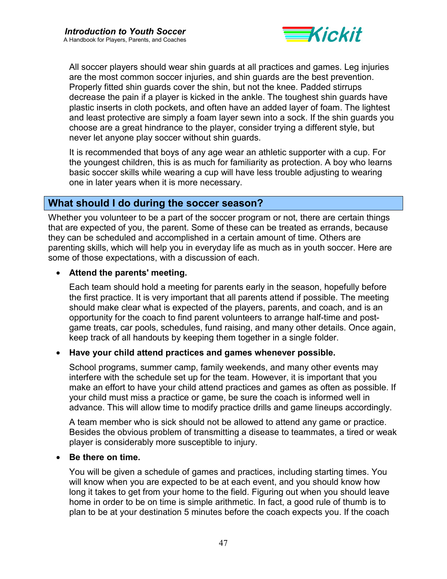

<span id="page-46-0"></span>All soccer players should wear shin guards at all practices and games. Leg injuries are the most common soccer injuries, and shin guards are the best prevention. Properly fitted shin guards cover the shin, but not the knee. Padded stirrups decrease the pain if a player is kicked in the ankle. The toughest shin guards have plastic inserts in cloth pockets, and often have an added layer of foam. The lightest and least protective are simply a foam layer sewn into a sock. If the shin guards you choose are a great hindrance to the player, consider trying a different style, but never let anyone play soccer without shin guards.

It is recommended that boys of any age wear an athletic supporter with a cup. For the youngest children, this is as much for familiarity as protection. A boy who learns basic soccer skills while wearing a cup will have less trouble adjusting to wearing one in later years when it is more necessary.

## **What should I do during the soccer season?**

Whether you volunteer to be a part of the soccer program or not, there are certain things that are expected of you, the parent. Some of these can be treated as errands, because they can be scheduled and accomplished in a certain amount of time. Others are parenting skills, which will help you in everyday life as much as in youth soccer. Here are some of those expectations, with a discussion of each.

#### • **Attend the parents' meeting.**

Each team should hold a meeting for parents early in the season, hopefully before the first practice. It is very important that all parents attend if possible. The meeting should make clear what is expected of the players, parents, and coach, and is an opportunity for the coach to find parent volunteers to arrange half-time and postgame treats, car pools, schedules, fund raising, and many other details. Once again, keep track of all handouts by keeping them together in a single folder.

#### • **Have your child attend practices and games whenever possible.**

School programs, summer camp, family weekends, and many other events may interfere with the schedule set up for the team. However, it is important that you make an effort to have your child attend practices and games as often as possible. If your child must miss a practice or game, be sure the coach is informed well in advance. This will allow time to modify practice drills and game lineups accordingly.

A team member who is sick should not be allowed to attend any game or practice. Besides the obvious problem of transmitting a disease to teammates, a tired or weak player is considerably more susceptible to injury.

#### • **Be there on time.**

You will be given a schedule of games and practices, including starting times. You will know when you are expected to be at each event, and you should know how long it takes to get from your home to the field. Figuring out when you should leave home in order to be on time is simple arithmetic. In fact, a good rule of thumb is to plan to be at your destination 5 minutes before the coach expects you. If the coach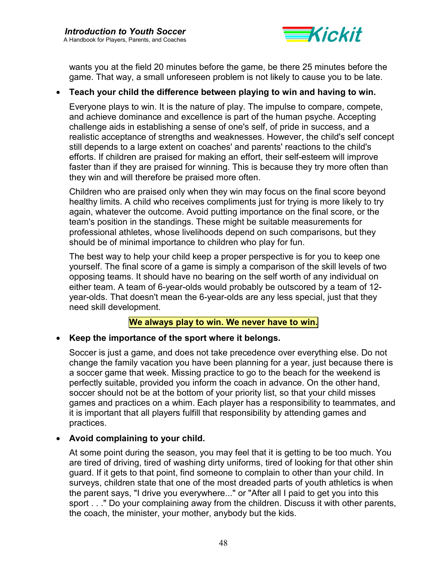

wants you at the field 20 minutes before the game, be there 25 minutes before the game. That way, a small unforeseen problem is not likely to cause you to be late.

### • **Teach your child the difference between playing to win and having to win.**

Everyone plays to win. It is the nature of play. The impulse to compare, compete, and achieve dominance and excellence is part of the human psyche. Accepting challenge aids in establishing a sense of one's self, of pride in success, and a realistic acceptance of strengths and weaknesses. However, the child's self concept still depends to a large extent on coaches' and parents' reactions to the child's efforts. If children are praised for making an effort, their self-esteem will improve faster than if they are praised for winning. This is because they try more often than they win and will therefore be praised more often.

Children who are praised only when they win may focus on the final score beyond healthy limits. A child who receives compliments just for trying is more likely to try again, whatever the outcome. Avoid putting importance on the final score, or the team's position in the standings. These might be suitable measurements for professional athletes, whose livelihoods depend on such comparisons, but they should be of minimal importance to children who play for fun.

The best way to help your child keep a proper perspective is for you to keep one yourself. The final score of a game is simply a comparison of the skill levels of two opposing teams. It should have no bearing on the self worth of any individual on either team. A team of 6-year-olds would probably be outscored by a team of 12 year-olds. That doesn't mean the 6-year-olds are any less special, just that they need skill development.

#### **We always play to win. We never have to win.**

#### • **Keep the importance of the sport where it belongs.**

Soccer is just a game, and does not take precedence over everything else. Do not change the family vacation you have been planning for a year, just because there is a soccer game that week. Missing practice to go to the beach for the weekend is perfectly suitable, provided you inform the coach in advance. On the other hand, soccer should not be at the bottom of your priority list, so that your child misses games and practices on a whim. Each player has a responsibility to teammates, and it is important that all players fulfill that responsibility by attending games and practices.

#### • **Avoid complaining to your child.**

At some point during the season, you may feel that it is getting to be too much. You are tired of driving, tired of washing dirty uniforms, tired of looking for that other shin guard. If it gets to that point, find someone to complain to other than your child. In surveys, children state that one of the most dreaded parts of youth athletics is when the parent says, "I drive you everywhere..." or "After all I paid to get you into this sport . . ." Do your complaining away from the children. Discuss it with other parents, the coach, the minister, your mother, anybody but the kids.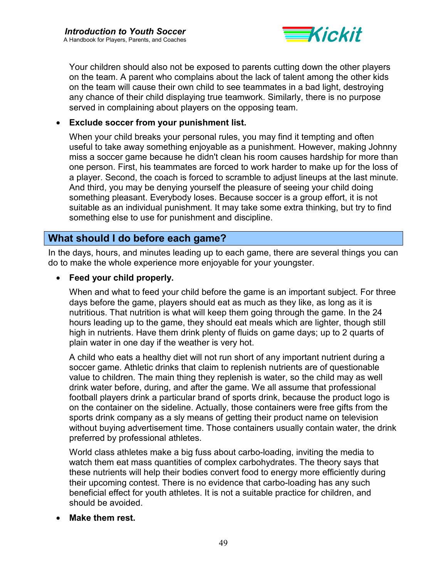

<span id="page-48-0"></span>Your children should also not be exposed to parents cutting down the other players on the team. A parent who complains about the lack of talent among the other kids on the team will cause their own child to see teammates in a bad light, destroying any chance of their child displaying true teamwork. Similarly, there is no purpose served in complaining about players on the opposing team.

### • **Exclude soccer from your punishment list.**

When your child breaks your personal rules, you may find it tempting and often useful to take away something enjoyable as a punishment. However, making Johnny miss a soccer game because he didn't clean his room causes hardship for more than one person. First, his teammates are forced to work harder to make up for the loss of a player. Second, the coach is forced to scramble to adjust lineups at the last minute. And third, you may be denying yourself the pleasure of seeing your child doing something pleasant. Everybody loses. Because soccer is a group effort, it is not suitable as an individual punishment. It may take some extra thinking, but try to find something else to use for punishment and discipline.

## **What should I do before each game?**

In the days, hours, and minutes leading up to each game, there are several things you can do to make the whole experience more enjoyable for your youngster.

#### • **Feed your child properly.**

When and what to feed your child before the game is an important subject. For three days before the game, players should eat as much as they like, as long as it is nutritious. That nutrition is what will keep them going through the game. In the 24 hours leading up to the game, they should eat meals which are lighter, though still high in nutrients. Have them drink plenty of fluids on game days; up to 2 quarts of plain water in one day if the weather is very hot.

A child who eats a healthy diet will not run short of any important nutrient during a soccer game. Athletic drinks that claim to replenish nutrients are of questionable value to children. The main thing they replenish is water, so the child may as well drink water before, during, and after the game. We all assume that professional football players drink a particular brand of sports drink, because the product logo is on the container on the sideline. Actually, those containers were free gifts from the sports drink company as a sly means of getting their product name on television without buying advertisement time. Those containers usually contain water, the drink preferred by professional athletes.

World class athletes make a big fuss about carbo-loading, inviting the media to watch them eat mass quantities of complex carbohydrates. The theory says that these nutrients will help their bodies convert food to energy more efficiently during their upcoming contest. There is no evidence that carbo-loading has any such beneficial effect for youth athletes. It is not a suitable practice for children, and should be avoided.

#### • **Make them rest.**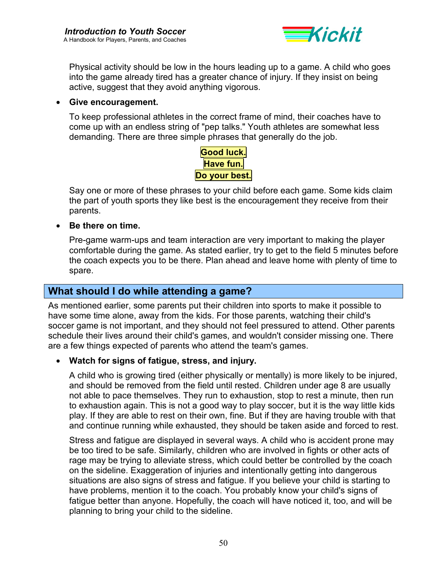

<span id="page-49-0"></span>Physical activity should be low in the hours leading up to a game. A child who goes into the game already tired has a greater chance of injury. If they insist on being active, suggest that they avoid anything vigorous.

#### • **Give encouragement.**

To keep professional athletes in the correct frame of mind, their coaches have to come up with an endless string of "pep talks." Youth athletes are somewhat less demanding. There are three simple phrases that generally do the job.



Say one or more of these phrases to your child before each game. Some kids claim the part of youth sports they like best is the encouragement they receive from their parents.

#### • **Be there on time.**

Pre-game warm-ups and team interaction are very important to making the player comfortable during the game. As stated earlier, try to get to the field 5 minutes before the coach expects you to be there. Plan ahead and leave home with plenty of time to spare.

## **What should I do while attending a game?**

As mentioned earlier, some parents put their children into sports to make it possible to have some time alone, away from the kids. For those parents, watching their child's soccer game is not important, and they should not feel pressured to attend. Other parents schedule their lives around their child's games, and wouldn't consider missing one. There are a few things expected of parents who attend the team's games.

#### • **Watch for signs of fatigue, stress, and injury.**

A child who is growing tired (either physically or mentally) is more likely to be injured, and should be removed from the field until rested. Children under age 8 are usually not able to pace themselves. They run to exhaustion, stop to rest a minute, then run to exhaustion again. This is not a good way to play soccer, but it is the way little kids play. If they are able to rest on their own, fine. But if they are having trouble with that and continue running while exhausted, they should be taken aside and forced to rest.

Stress and fatigue are displayed in several ways. A child who is accident prone may be too tired to be safe. Similarly, children who are involved in fights or other acts of rage may be trying to alleviate stress, which could better be controlled by the coach on the sideline. Exaggeration of injuries and intentionally getting into dangerous situations are also signs of stress and fatigue. If you believe your child is starting to have problems, mention it to the coach. You probably know your child's signs of fatigue better than anyone. Hopefully, the coach will have noticed it, too, and will be planning to bring your child to the sideline.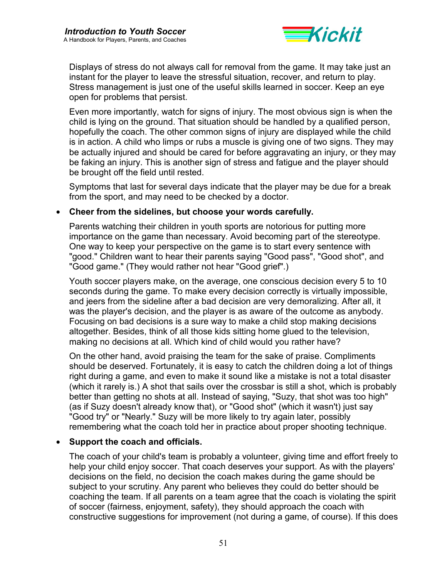

Displays of stress do not always call for removal from the game. It may take just an instant for the player to leave the stressful situation, recover, and return to play. Stress management is just one of the useful skills learned in soccer. Keep an eye open for problems that persist.

Even more importantly, watch for signs of injury. The most obvious sign is when the child is lying on the ground. That situation should be handled by a qualified person, hopefully the coach. The other common signs of injury are displayed while the child is in action. A child who limps or rubs a muscle is giving one of two signs. They may be actually injured and should be cared for before aggravating an injury, or they may be faking an injury. This is another sign of stress and fatigue and the player should be brought off the field until rested.

Symptoms that last for several days indicate that the player may be due for a break from the sport, and may need to be checked by a doctor.

#### • **Cheer from the sidelines, but choose your words carefully.**

Parents watching their children in youth sports are notorious for putting more importance on the game than necessary. Avoid becoming part of the stereotype. One way to keep your perspective on the game is to start every sentence with "good." Children want to hear their parents saying "Good pass", "Good shot", and "Good game." (They would rather not hear "Good grief".)

Youth soccer players make, on the average, one conscious decision every 5 to 10 seconds during the game. To make every decision correctly is virtually impossible, and jeers from the sideline after a bad decision are very demoralizing. After all, it was the player's decision, and the player is as aware of the outcome as anybody. Focusing on bad decisions is a sure way to make a child stop making decisions altogether. Besides, think of all those kids sitting home glued to the television, making no decisions at all. Which kind of child would you rather have?

On the other hand, avoid praising the team for the sake of praise. Compliments should be deserved. Fortunately, it is easy to catch the children doing a lot of things right during a game, and even to make it sound like a mistake is not a total disaster (which it rarely is.) A shot that sails over the crossbar is still a shot, which is probably better than getting no shots at all. Instead of saying, "Suzy, that shot was too high" (as if Suzy doesn't already know that), or "Good shot" (which it wasn't) just say "Good try" or "Nearly." Suzy will be more likely to try again later, possibly remembering what the coach told her in practice about proper shooting technique.

#### • **Support the coach and officials.**

The coach of your child's team is probably a volunteer, giving time and effort freely to help your child enjoy soccer. That coach deserves your support. As with the players' decisions on the field, no decision the coach makes during the game should be subject to your scrutiny. Any parent who believes they could do better should be coaching the team. If all parents on a team agree that the coach is violating the spirit of soccer (fairness, enjoyment, safety), they should approach the coach with constructive suggestions for improvement (not during a game, of course). If this does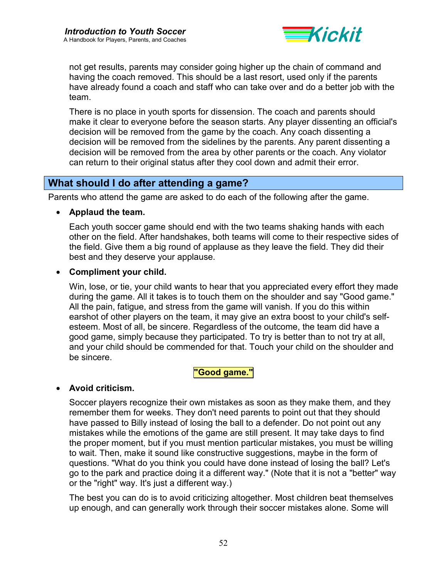

<span id="page-51-0"></span>not get results, parents may consider going higher up the chain of command and having the coach removed. This should be a last resort, used only if the parents have already found a coach and staff who can take over and do a better job with the team.

There is no place in youth sports for dissension. The coach and parents should make it clear to everyone before the season starts. Any player dissenting an official's decision will be removed from the game by the coach. Any coach dissenting a decision will be removed from the sidelines by the parents. Any parent dissenting a decision will be removed from the area by other parents or the coach. Any violator can return to their original status after they cool down and admit their error.

## **What should I do after attending a game?**

Parents who attend the game are asked to do each of the following after the game.

#### • **Applaud the team.**

Each youth soccer game should end with the two teams shaking hands with each other on the field. After handshakes, both teams will come to their respective sides of the field. Give them a big round of applause as they leave the field. They did their best and they deserve your applause.

### • **Compliment your child.**

Win, lose, or tie, your child wants to hear that you appreciated every effort they made during the game. All it takes is to touch them on the shoulder and say "Good game." All the pain, fatigue, and stress from the game will vanish. If you do this within earshot of other players on the team, it may give an extra boost to your child's selfesteem. Most of all, be sincere. Regardless of the outcome, the team did have a good game, simply because they participated. To try is better than to not try at all, and your child should be commended for that. Touch your child on the shoulder and be sincere.

#### **"Good game."**

#### • **Avoid criticism.**

Soccer players recognize their own mistakes as soon as they make them, and they remember them for weeks. They don't need parents to point out that they should have passed to Billy instead of losing the ball to a defender. Do not point out any mistakes while the emotions of the game are still present. It may take days to find the proper moment, but if you must mention particular mistakes, you must be willing to wait. Then, make it sound like constructive suggestions, maybe in the form of questions. "What do you think you could have done instead of losing the ball? Let's go to the park and practice doing it a different way." (Note that it is not a "better" way or the "right" way. It's just a different way.)

The best you can do is to avoid criticizing altogether. Most children beat themselves up enough, and can generally work through their soccer mistakes alone. Some will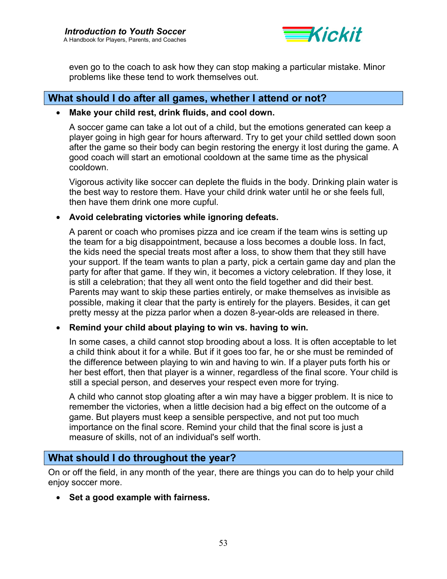

<span id="page-52-0"></span>even go to the coach to ask how they can stop making a particular mistake. Minor problems like these tend to work themselves out.

### **What should I do after all games, whether I attend or not?**

#### • **Make your child rest, drink fluids, and cool down.**

A soccer game can take a lot out of a child, but the emotions generated can keep a player going in high gear for hours afterward. Try to get your child settled down soon after the game so their body can begin restoring the energy it lost during the game. A good coach will start an emotional cooldown at the same time as the physical cooldown.

Vigorous activity like soccer can deplete the fluids in the body. Drinking plain water is the best way to restore them. Have your child drink water until he or she feels full, then have them drink one more cupful.

### • **Avoid celebrating victories while ignoring defeats.**

A parent or coach who promises pizza and ice cream if the team wins is setting up the team for a big disappointment, because a loss becomes a double loss. In fact, the kids need the special treats most after a loss, to show them that they still have your support. If the team wants to plan a party, pick a certain game day and plan the party for after that game. If they win, it becomes a victory celebration. If they lose, it is still a celebration; that they all went onto the field together and did their best. Parents may want to skip these parties entirely, or make themselves as invisible as possible, making it clear that the party is entirely for the players. Besides, it can get pretty messy at the pizza parlor when a dozen 8-year-olds are released in there.

### • **Remind your child about playing to win vs. having to win.**

In some cases, a child cannot stop brooding about a loss. It is often acceptable to let a child think about it for a while. But if it goes too far, he or she must be reminded of the difference between playing to win and having to win. If a player puts forth his or her best effort, then that player is a winner, regardless of the final score. Your child is still a special person, and deserves your respect even more for trying.

A child who cannot stop gloating after a win may have a bigger problem. It is nice to remember the victories, when a little decision had a big effect on the outcome of a game. But players must keep a sensible perspective, and not put too much importance on the final score. Remind your child that the final score is just a measure of skills, not of an individual's self worth.

## **What should I do throughout the year?**

On or off the field, in any month of the year, there are things you can do to help your child enjoy soccer more.

• **Set a good example with fairness.**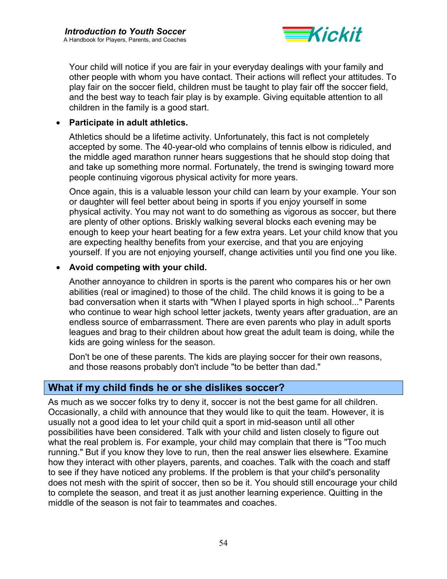

<span id="page-53-0"></span>Your child will notice if you are fair in your everyday dealings with your family and other people with whom you have contact. Their actions will reflect your attitudes. To play fair on the soccer field, children must be taught to play fair off the soccer field, and the best way to teach fair play is by example. Giving equitable attention to all children in the family is a good start.

### • **Participate in adult athletics.**

Athletics should be a lifetime activity. Unfortunately, this fact is not completely accepted by some. The 40-year-old who complains of tennis elbow is ridiculed, and the middle aged marathon runner hears suggestions that he should stop doing that and take up something more normal. Fortunately, the trend is swinging toward more people continuing vigorous physical activity for more years.

Once again, this is a valuable lesson your child can learn by your example. Your son or daughter will feel better about being in sports if you enjoy yourself in some physical activity. You may not want to do something as vigorous as soccer, but there are plenty of other options. Briskly walking several blocks each evening may be enough to keep your heart beating for a few extra years. Let your child know that you are expecting healthy benefits from your exercise, and that you are enjoying yourself. If you are not enjoying yourself, change activities until you find one you like.

### • **Avoid competing with your child.**

Another annoyance to children in sports is the parent who compares his or her own abilities (real or imagined) to those of the child. The child knows it is going to be a bad conversation when it starts with "When I played sports in high school..." Parents who continue to wear high school letter jackets, twenty years after graduation, are an endless source of embarrassment. There are even parents who play in adult sports leagues and brag to their children about how great the adult team is doing, while the kids are going winless for the season.

Don't be one of these parents. The kids are playing soccer for their own reasons, and those reasons probably don't include "to be better than dad."

### **What if my child finds he or she dislikes soccer?**

As much as we soccer folks try to deny it, soccer is not the best game for all children. Occasionally, a child with announce that they would like to quit the team. However, it is usually not a good idea to let your child quit a sport in mid-season until all other possibilities have been considered. Talk with your child and listen closely to figure out what the real problem is. For example, your child may complain that there is "Too much running." But if you know they love to run, then the real answer lies elsewhere. Examine how they interact with other players, parents, and coaches. Talk with the coach and staff to see if they have noticed any problems. If the problem is that your child's personality does not mesh with the spirit of soccer, then so be it. You should still encourage your child to complete the season, and treat it as just another learning experience. Quitting in the middle of the season is not fair to teammates and coaches.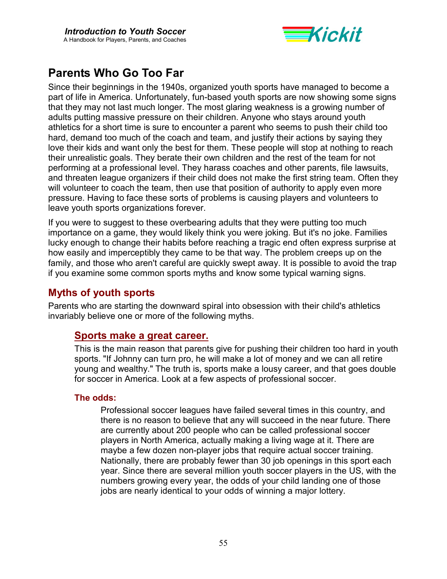

# <span id="page-54-0"></span>**Parents Who Go Too Far**

Since their beginnings in the 1940s, organized youth sports have managed to become a part of life in America. Unfortunately, fun-based youth sports are now showing some signs that they may not last much longer. The most glaring weakness is a growing number of adults putting massive pressure on their children. Anyone who stays around youth athletics for a short time is sure to encounter a parent who seems to push their child too hard, demand too much of the coach and team, and justify their actions by saying they love their kids and want only the best for them. These people will stop at nothing to reach their unrealistic goals. They berate their own children and the rest of the team for not performing at a professional level. They harass coaches and other parents, file lawsuits, and threaten league organizers if their child does not make the first string team. Often they will volunteer to coach the team, then use that position of authority to apply even more pressure. Having to face these sorts of problems is causing players and volunteers to leave youth sports organizations forever.

If you were to suggest to these overbearing adults that they were putting too much importance on a game, they would likely think you were joking. But it's no joke. Families lucky enough to change their habits before reaching a tragic end often express surprise at how easily and imperceptibly they came to be that way. The problem creeps up on the family, and those who aren't careful are quickly swept away. It is possible to avoid the trap if you examine some common sports myths and know some typical warning signs.

## **Myths of youth sports**

Parents who are starting the downward spiral into obsession with their child's athletics invariably believe one or more of the following myths.

## **Sports make a great career.**

This is the main reason that parents give for pushing their children too hard in youth sports. "If Johnny can turn pro, he will make a lot of money and we can all retire young and wealthy." The truth is, sports make a lousy career, and that goes double for soccer in America. Look at a few aspects of professional soccer.

### **The odds:**

Professional soccer leagues have failed several times in this country, and there is no reason to believe that any will succeed in the near future. There are currently about 200 people who can be called professional soccer players in North America, actually making a living wage at it. There are maybe a few dozen non-player jobs that require actual soccer training. Nationally, there are probably fewer than 30 job openings in this sport each year. Since there are several million youth soccer players in the US, with the numbers growing every year, the odds of your child landing one of those jobs are nearly identical to your odds of winning a major lottery.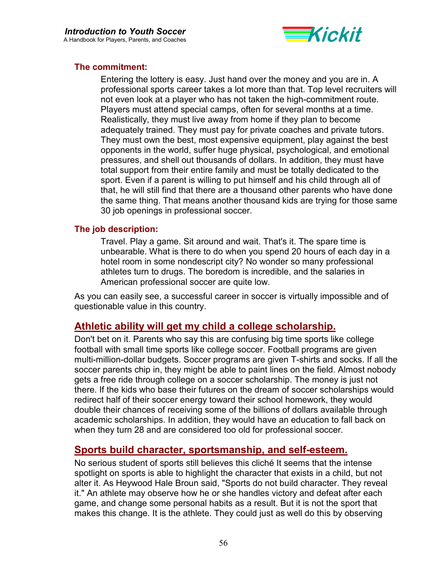

#### **The commitment:**

Entering the lottery is easy. Just hand over the money and you are in. A professional sports career takes a lot more than that. Top level recruiters will not even look at a player who has not taken the high-commitment route. Players must attend special camps, often for several months at a time. Realistically, they must live away from home if they plan to become adequately trained. They must pay for private coaches and private tutors. They must own the best, most expensive equipment, play against the best opponents in the world, suffer huge physical, psychological, and emotional pressures, and shell out thousands of dollars. In addition, they must have total support from their entire family and must be totally dedicated to the sport. Even if a parent is willing to put himself and his child through all of that, he will still find that there are a thousand other parents who have done the same thing. That means another thousand kids are trying for those same 30 job openings in professional soccer.

#### **The job description:**

Travel. Play a game. Sit around and wait. That's it. The spare time is unbearable. What is there to do when you spend 20 hours of each day in a hotel room in some nondescript city? No wonder so many professional athletes turn to drugs. The boredom is incredible, and the salaries in American professional soccer are quite low.

As you can easily see, a successful career in soccer is virtually impossible and of questionable value in this country.

### **Athletic ability will get my child a college scholarship.**

Don't bet on it. Parents who say this are confusing big time sports like college football with small time sports like college soccer. Football programs are given multi-million-dollar budgets. Soccer programs are given T-shirts and socks. If all the soccer parents chip in, they might be able to paint lines on the field. Almost nobody gets a free ride through college on a soccer scholarship. The money is just not there. If the kids who base their futures on the dream of soccer scholarships would redirect half of their soccer energy toward their school homework, they would double their chances of receiving some of the billions of dollars available through academic scholarships. In addition, they would have an education to fall back on when they turn 28 and are considered too old for professional soccer.

## **Sports build character, sportsmanship, and self-esteem.**

No serious student of sports still believes this cliché It seems that the intense spotlight on sports is able to highlight the character that exists in a child, but not alter it. As Heywood Hale Broun said, "Sports do not build character. They reveal it." An athlete may observe how he or she handles victory and defeat after each game, and change some personal habits as a result. But it is not the sport that makes this change. It is the athlete. They could just as well do this by observing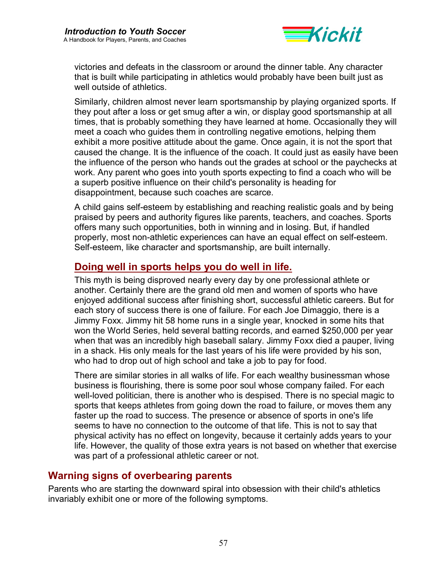

victories and defeats in the classroom or around the dinner table. Any character that is built while participating in athletics would probably have been built just as well outside of athletics.

Similarly, children almost never learn sportsmanship by playing organized sports. If they pout after a loss or get smug after a win, or display good sportsmanship at all times, that is probably something they have learned at home. Occasionally they will meet a coach who guides them in controlling negative emotions, helping them exhibit a more positive attitude about the game. Once again, it is not the sport that caused the change. It is the influence of the coach. It could just as easily have been the influence of the person who hands out the grades at school or the paychecks at work. Any parent who goes into youth sports expecting to find a coach who will be a superb positive influence on their child's personality is heading for disappointment, because such coaches are scarce.

A child gains self-esteem by establishing and reaching realistic goals and by being praised by peers and authority figures like parents, teachers, and coaches. Sports offers many such opportunities, both in winning and in losing. But, if handled properly, most non-athletic experiences can have an equal effect on self-esteem. Self-esteem, like character and sportsmanship, are built internally.

## **Doing well in sports helps you do well in life.**

This myth is being disproved nearly every day by one professional athlete or another. Certainly there are the grand old men and women of sports who have enjoyed additional success after finishing short, successful athletic careers. But for each story of success there is one of failure. For each Joe Dimaggio, there is a Jimmy Foxx. Jimmy hit 58 home runs in a single year, knocked in some hits that won the World Series, held several batting records, and earned \$250,000 per year when that was an incredibly high baseball salary. Jimmy Foxx died a pauper, living in a shack. His only meals for the last years of his life were provided by his son, who had to drop out of high school and take a job to pay for food.

There are similar stories in all walks of life. For each wealthy businessman whose business is flourishing, there is some poor soul whose company failed. For each well-loved politician, there is another who is despised. There is no special magic to sports that keeps athletes from going down the road to failure, or moves them any faster up the road to success. The presence or absence of sports in one's life seems to have no connection to the outcome of that life. This is not to say that physical activity has no effect on longevity, because it certainly adds years to your life. However, the quality of those extra years is not based on whether that exercise was part of a professional athletic career or not.

## **Warning signs of overbearing parents**

Parents who are starting the downward spiral into obsession with their child's athletics invariably exhibit one or more of the following symptoms.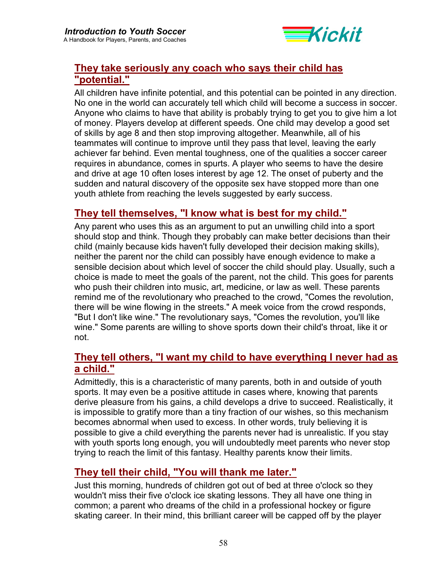

## **They take seriously any coach who says their child has "potential."**

All children have infinite potential, and this potential can be pointed in any direction. No one in the world can accurately tell which child will become a success in soccer. Anyone who claims to have that ability is probably trying to get you to give him a lot of money. Players develop at different speeds. One child may develop a good set of skills by age 8 and then stop improving altogether. Meanwhile, all of his teammates will continue to improve until they pass that level, leaving the early achiever far behind. Even mental toughness, one of the qualities a soccer career requires in abundance, comes in spurts. A player who seems to have the desire and drive at age 10 often loses interest by age 12. The onset of puberty and the sudden and natural discovery of the opposite sex have stopped more than one youth athlete from reaching the levels suggested by early success.

## **They tell themselves, "I know what is best for my child."**

Any parent who uses this as an argument to put an unwilling child into a sport should stop and think. Though they probably can make better decisions than their child (mainly because kids haven't fully developed their decision making skills), neither the parent nor the child can possibly have enough evidence to make a sensible decision about which level of soccer the child should play. Usually, such a choice is made to meet the goals of the parent, not the child. This goes for parents who push their children into music, art, medicine, or law as well. These parents remind me of the revolutionary who preached to the crowd, "Comes the revolution, there will be wine flowing in the streets." A meek voice from the crowd responds, "But I don't like wine." The revolutionary says, "Comes the revolution, you'll like wine." Some parents are willing to shove sports down their child's throat, like it or not.

## **They tell others, "I want my child to have everything I never had as a child."**

Admittedly, this is a characteristic of many parents, both in and outside of youth sports. It may even be a positive attitude in cases where, knowing that parents derive pleasure from his gains, a child develops a drive to succeed. Realistically, it is impossible to gratify more than a tiny fraction of our wishes, so this mechanism becomes abnormal when used to excess. In other words, truly believing it is possible to give a child everything the parents never had is unrealistic. If you stay with youth sports long enough, you will undoubtedly meet parents who never stop trying to reach the limit of this fantasy. Healthy parents know their limits.

## **They tell their child, "You will thank me later."**

Just this morning, hundreds of children got out of bed at three o'clock so they wouldn't miss their five o'clock ice skating lessons. They all have one thing in common; a parent who dreams of the child in a professional hockey or figure skating career. In their mind, this brilliant career will be capped off by the player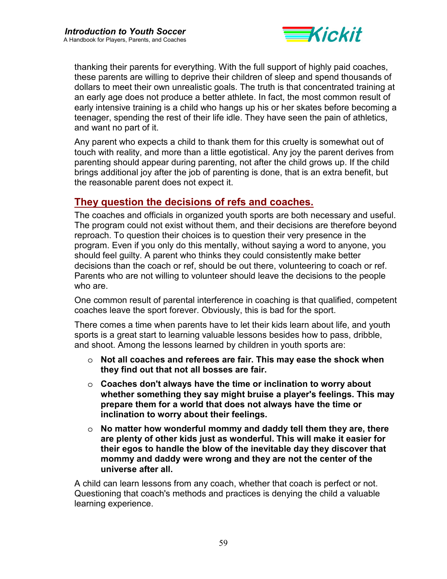

thanking their parents for everything. With the full support of highly paid coaches, these parents are willing to deprive their children of sleep and spend thousands of dollars to meet their own unrealistic goals. The truth is that concentrated training at an early age does not produce a better athlete. In fact, the most common result of early intensive training is a child who hangs up his or her skates before becoming a teenager, spending the rest of their life idle. They have seen the pain of athletics, and want no part of it.

Any parent who expects a child to thank them for this cruelty is somewhat out of touch with reality, and more than a little egotistical. Any joy the parent derives from parenting should appear during parenting, not after the child grows up. If the child brings additional joy after the job of parenting is done, that is an extra benefit, but the reasonable parent does not expect it.

## **They question the decisions of refs and coaches.**

The coaches and officials in organized youth sports are both necessary and useful. The program could not exist without them, and their decisions are therefore beyond reproach. To question their choices is to question their very presence in the program. Even if you only do this mentally, without saying a word to anyone, you should feel guilty. A parent who thinks they could consistently make better decisions than the coach or ref, should be out there, volunteering to coach or ref. Parents who are not willing to volunteer should leave the decisions to the people who are.

One common result of parental interference in coaching is that qualified, competent coaches leave the sport forever. Obviously, this is bad for the sport.

There comes a time when parents have to let their kids learn about life, and youth sports is a great start to learning valuable lessons besides how to pass, dribble, and shoot. Among the lessons learned by children in youth sports are:

- o **Not all coaches and referees are fair. This may ease the shock when they find out that not all bosses are fair.**
- o **Coaches don't always have the time or inclination to worry about whether something they say might bruise a player's feelings. This may prepare them for a world that does not always have the time or inclination to worry about their feelings.**
- o **No matter how wonderful mommy and daddy tell them they are, there are plenty of other kids just as wonderful. This will make it easier for their egos to handle the blow of the inevitable day they discover that mommy and daddy were wrong and they are not the center of the universe after all.**

A child can learn lessons from any coach, whether that coach is perfect or not. Questioning that coach's methods and practices is denying the child a valuable learning experience.